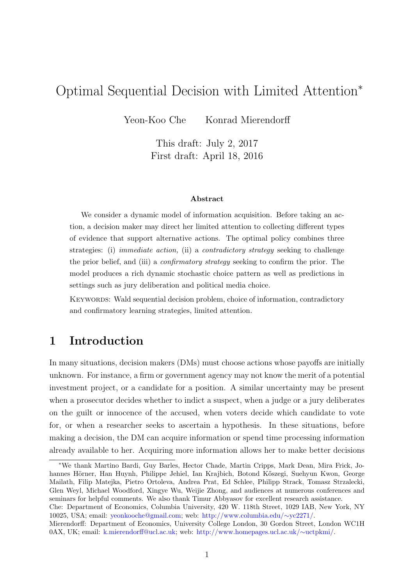# <span id="page-0-0"></span>Optimal Sequential Decision with Limited Attention<sup>∗</sup>

Yeon-Koo Che Konrad Mierendorff

This draft: July 2, 2017 First draft: April 18, 2016

#### Abstract

We consider a dynamic model of information acquisition. Before taking an action, a decision maker may direct her limited attention to collecting different types of evidence that support alternative actions. The optimal policy combines three strategies: (i) immediate action, (ii) a contradictory strategy seeking to challenge the prior belief, and (iii) a confirmatory strategy seeking to confirm the prior. The model produces a rich dynamic stochastic choice pattern as well as predictions in settings such as jury deliberation and political media choice.

Keywords: Wald sequential decision problem, choice of information, contradictory and confirmatory learning strategies, limited attention.

## 1 Introduction

In many situations, decision makers (DMs) must choose actions whose payoffs are initially unknown. For instance, a firm or government agency may not know the merit of a potential investment project, or a candidate for a position. A similar uncertainty may be present when a prosecutor decides whether to indict a suspect, when a judge or a jury deliberates on the guilt or innocence of the accused, when voters decide which candidate to vote for, or when a researcher seeks to ascertain a hypothesis. In these situations, before making a decision, the DM can acquire information or spend time processing information already available to her. Acquiring more information allows her to make better decisions

<sup>∗</sup>We thank Martino Bardi, Guy Barles, Hector Chade, Martin Cripps, Mark Dean, Mira Frick, Johannes Hörner, Han Huynh, Philippe Jehiel, Ian Krajbich, Botond Kőszegi, Suehyun Kwon, George Mailath, Filip Matejka, Pietro Ortoleva, Andrea Prat, Ed Schlee, Philipp Strack, Tomasz Strzalecki, Glen Weyl, Michael Woodford, Xingye Wu, Weijie Zhong, and audiences at numerous conferences and seminars for helpful comments. We also thank Timur Abbyasov for excellent research assistance.

Che: Department of Economics, Columbia University, 420 W. 118th Street, 1029 IAB, New York, NY 10025, USA; email: [yeonkooche@gmail.com;](mailto:yeonkooche@gmail.com) web: [http://www.columbia.edu/](http://www.columbia.edu/\protect \unhbox \voidb@x \penalty \@M \ {}yc2271/)∼yc2271/.

Mierendorff: Department of Economics, University College London, 30 Gordon Street, London WC1H 0AX, UK; email: [k.mierendorff@ucl.ac.uk;](mailto:k.mierendorff@ucl.ac.uk) web: [http://www.homepages.ucl.ac.uk/](http://www.homepages.ucl.ac.uk/\protect \unhbox \voidb@x \penalty \@M \ {}uctpkmi/)∼uctpkmi/.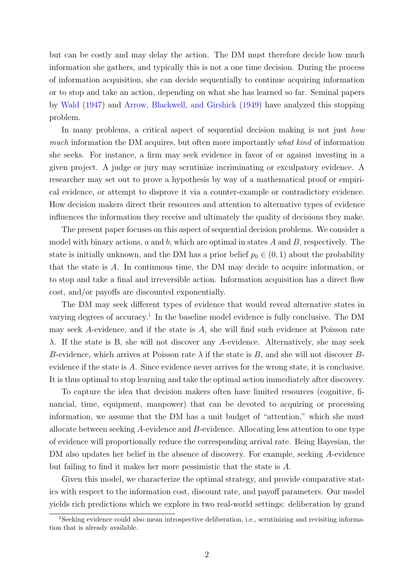<span id="page-1-1"></span>but can be costly and may delay the action. The DM must therefore decide how much information she gathers, and typically this is not a one time decision. During the process of information acquisition, she can decide sequentially to continue acquiring information or to stop and take an action, depending on what she has learned so far. Seminal papers by [Wald](#page-39-0) [\(1947\)](#page-39-0) and [Arrow, Blackwell, and Girshick](#page-38-0) [\(1949\)](#page-38-0) have analyzed this stopping problem.

In many problems, a critical aspect of sequential decision making is not just how much information the DM acquires, but often more importantly what kind of information she seeks. For instance, a firm may seek evidence in favor of or against investing in a given project. A judge or jury may scrutinize incriminating or exculpatory evidence. A researcher may set out to prove a hypothesis by way of a mathematical proof or empirical evidence, or attempt to disprove it via a counter-example or contradictory evidence. How decision makers direct their resources and attention to alternative types of evidence influences the information they receive and ultimately the quality of decisions they make.

The present paper focuses on this aspect of sequential decision problems. We consider a model with binary actions,  $a$  and  $b$ , which are optimal in states  $A$  and  $B$ , respectively. The state is initially unknown, and the DM has a prior belief  $p_0 \in (0, 1)$  about the probability that the state is A. In continuous time, the DM may decide to acquire information, or to stop and take a final and irreversible action. Information acquisition has a direct flow cost, and/or payoffs are discounted exponentially.

The DM may seek different types of evidence that would reveal alternative states in varying degrees of accuracy.<sup>[1](#page-1-0)</sup> In the baseline model evidence is fully conclusive. The DM may seek A-evidence, and if the state is  $A$ , she will find such evidence at Poisson rate λ. If the state is B, she will not discover any A-evidence. Alternatively, she may seek B-evidence, which arrives at Poisson rate  $\lambda$  if the state is B, and she will not discover Bevidence if the state is A. Since evidence never arrives for the wrong state, it is conclusive. It is thus optimal to stop learning and take the optimal action immediately after discovery.

To capture the idea that decision makers often have limited resources (cognitive, financial, time, equipment, manpower) that can be devoted to acquiring or processing information, we assume that the DM has a unit budget of "attention," which she must allocate between seeking A-evidence and B-evidence. Allocating less attention to one type of evidence will proportionally reduce the corresponding arrival rate. Being Bayesian, the DM also updates her belief in the absence of discovery. For example, seeking A-evidence but failing to find it makes her more pessimistic that the state is A.

Given this model, we characterize the optimal strategy, and provide comparative statics with respect to the information cost, discount rate, and payoff parameters. Our model yields rich predictions which we explore in two real-world settings: deliberation by grand

<span id="page-1-0"></span> $1$ Seeking evidence could also mean introspective deliberation, i.e., scrutinizing and revisiting information that is already available.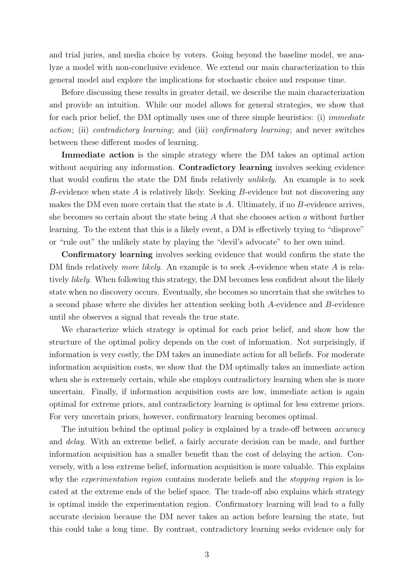and trial juries, and media choice by voters. Going beyond the baseline model, we analyze a model with non-conclusive evidence. We extend our main characterization to this general model and explore the implications for stochastic choice and response time.

Before discussing these results in greater detail, we describe the main characterization and provide an intuition. While our model allows for general strategies, we show that for each prior belief, the DM optimally uses one of three simple heuristics: (i) immediate action; (ii) contradictory learning; and (iii) confirmatory learning; and never switches between these different modes of learning.

Immediate action is the simple strategy where the DM takes an optimal action without acquiring any information. **Contradictory learning** involves seeking evidence that would confirm the state the DM finds relatively unlikely. An example is to seek B-evidence when state A is relatively likely. Seeking B-evidence but not discovering any makes the DM even more certain that the state is A. Ultimately, if no B-evidence arrives, she becomes so certain about the state being  $A$  that she chooses action  $a$  without further learning. To the extent that this is a likely event, a DM is effectively trying to "disprove" or "rule out" the unlikely state by playing the "devil's advocate" to her own mind.

Confirmatory learning involves seeking evidence that would confirm the state the DM finds relatively *more likely*. An example is to seek A-evidence when state A is relatively likely. When following this strategy, the DM becomes less confident about the likely state when no discovery occurs. Eventually, she becomes so uncertain that she switches to a second phase where she divides her attention seeking both A-evidence and B-evidence until she observes a signal that reveals the true state.

We characterize which strategy is optimal for each prior belief, and show how the structure of the optimal policy depends on the cost of information. Not surprisingly, if information is very costly, the DM takes an immediate action for all beliefs. For moderate information acquisition costs, we show that the DM optimally takes an immediate action when she is extremely certain, while she employs contradictory learning when she is more uncertain. Finally, if information acquisition costs are low, immediate action is again optimal for extreme priors, and contradictory learning is optimal for less extreme priors. For very uncertain priors, however, confirmatory learning becomes optimal.

The intuition behind the optimal policy is explained by a trade-off between *accuracy* and delay. With an extreme belief, a fairly accurate decision can be made, and further information acquisition has a smaller benefit than the cost of delaying the action. Conversely, with a less extreme belief, information acquisition is more valuable. This explains why the *experimentation region* contains moderate beliefs and the *stopping region* is located at the extreme ends of the belief space. The trade-off also explains which strategy is optimal inside the experimentation region. Confirmatory learning will lead to a fully accurate decision because the DM never takes an action before learning the state, but this could take a long time. By contrast, contradictory learning seeks evidence only for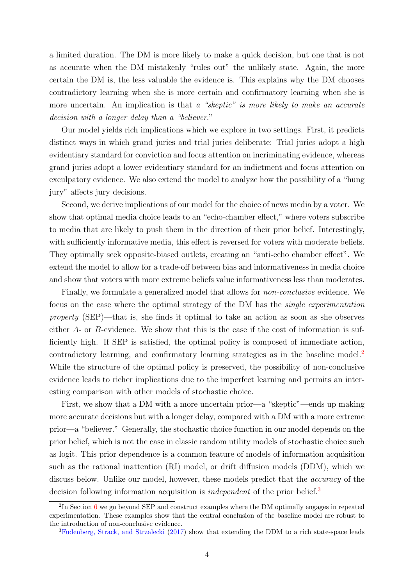<span id="page-3-2"></span>a limited duration. The DM is more likely to make a quick decision, but one that is not as accurate when the DM mistakenly "rules out" the unlikely state. Again, the more certain the DM is, the less valuable the evidence is. This explains why the DM chooses contradictory learning when she is more certain and confirmatory learning when she is more uncertain. An implication is that a "skeptic" is more likely to make an accurate decision with a longer delay than a "believer."

Our model yields rich implications which we explore in two settings. First, it predicts distinct ways in which grand juries and trial juries deliberate: Trial juries adopt a high evidentiary standard for conviction and focus attention on incriminating evidence, whereas grand juries adopt a lower evidentiary standard for an indictment and focus attention on exculpatory evidence. We also extend the model to analyze how the possibility of a "hung jury" affects jury decisions.

Second, we derive implications of our model for the choice of news media by a voter. We show that optimal media choice leads to an "echo-chamber effect," where voters subscribe to media that are likely to push them in the direction of their prior belief. Interestingly, with sufficiently informative media, this effect is reversed for voters with moderate beliefs. They optimally seek opposite-biased outlets, creating an "anti-echo chamber effect". We extend the model to allow for a trade-off between bias and informativeness in media choice and show that voters with more extreme beliefs value informativeness less than moderates.

Finally, we formulate a generalized model that allows for non-conclusive evidence. We focus on the case where the optimal strategy of the DM has the single experimentation property (SEP)—that is, she finds it optimal to take an action as soon as she observes either A- or B-evidence. We show that this is the case if the cost of information is sufficiently high. If SEP is satisfied, the optimal policy is composed of immediate action, contradictory learning, and confirmatory learning strategies as in the baseline model.<sup>[2](#page-3-0)</sup> While the structure of the optimal policy is preserved, the possibility of non-conclusive evidence leads to richer implications due to the imperfect learning and permits an interesting comparison with other models of stochastic choice.

First, we show that a DM with a more uncertain prior—a "skeptic"—ends up making more accurate decisions but with a longer delay, compared with a DM with a more extreme prior—a "believer." Generally, the stochastic choice function in our model depends on the prior belief, which is not the case in classic random utility models of stochastic choice such as logit. This prior dependence is a common feature of models of information acquisition such as the rational inattention (RI) model, or drift diffusion models (DDM), which we discuss below. Unlike our model, however, these models predict that the *accuracy* of the decision following information acquisition is *independent* of the prior belief.<sup>[3](#page-3-1)</sup>

<span id="page-3-0"></span><sup>&</sup>lt;sup>2</sup>In Section [6](#page-25-0) we go beyond SEP and construct examples where the DM optimally engages in repeated experimentation. These examples show that the central conclusion of the baseline model are robust to the introduction of non-conclusive evidence.

<span id="page-3-1"></span><sup>&</sup>lt;sup>3</sup>[Fudenberg, Strack, and Strzalecki](#page-38-1) [\(2017\)](#page-38-1) show that extending the DDM to a rich state-space leads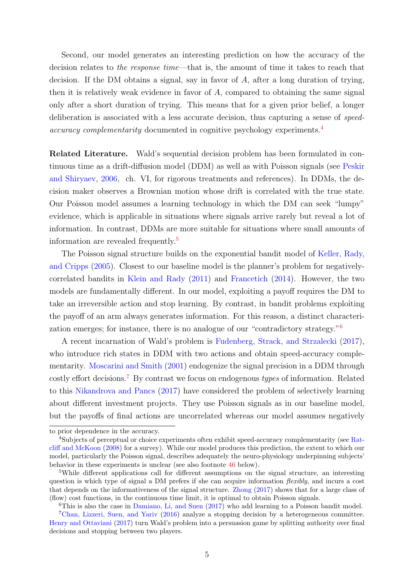<span id="page-4-4"></span>Second, our model generates an interesting prediction on how the accuracy of the decision relates to the response time—that is, the amount of time it takes to reach that decision. If the DM obtains a signal, say in favor of  $A$ , after a long duration of trying, then it is relatively weak evidence in favor of  $A$ , compared to obtaining the same signal only after a short duration of trying. This means that for a given prior belief, a longer deliberation is associated with a less accurate decision, thus capturing a sense of speed-accuracy complementarity documented in cognitive psychology experiments.<sup>[4](#page-4-0)</sup>

Related Literature. Wald's sequential decision problem has been formulated in continuous time as a drift-diffusion model (DDM) as well as with Poisson signals (see [Peskir](#page-39-1) [and Shiryaev,](#page-39-1) [2006,](#page-39-1) ch. VI, for rigorous treatments and references). In DDMs, the decision maker observes a Brownian motion whose drift is correlated with the true state. Our Poisson model assumes a learning technology in which the DM can seek "lumpy" evidence, which is applicable in situations where signals arrive rarely but reveal a lot of information. In contrast, DDMs are more suitable for situations where small amounts of information are revealed frequently.[5](#page-4-1)

The Poisson signal structure builds on the exponential bandit model of [Keller, Rady,](#page-38-2) [and Cripps](#page-38-2) [\(2005\)](#page-38-2). Closest to our baseline model is the planner's problem for negativelycorrelated bandits in [Klein and Rady](#page-38-3) [\(2011\)](#page-38-3) and [Francetich](#page-38-4) [\(2014\)](#page-38-4). However, the two models are fundamentally different. In our model, exploiting a payoff requires the DM to take an irreversible action and stop learning. By contrast, in bandit problems exploiting the payoff of an arm always generates information. For this reason, a distinct characterization emerges; for instance, there is no analogue of our "contradictory strategy."[6](#page-4-2)

A recent incarnation of Wald's problem is [Fudenberg, Strack, and Strzalecki](#page-38-1) [\(2017\)](#page-38-1), who introduce rich states in DDM with two actions and obtain speed-accuracy complementarity. [Moscarini and Smith](#page-39-2) [\(2001\)](#page-39-2) endogenize the signal precision in a DDM through costly effort decisions.[7](#page-4-3) By contrast we focus on endogenous types of information. Related to this [Nikandrova and Pancs](#page-39-3) [\(2017\)](#page-39-3) have considered the problem of selectively learning about different investment projects. They use Poisson signals as in our baseline model, but the payoffs of final actions are uncorrelated whereas our model assumes negatively

to prior dependence in the accuracy.

<span id="page-4-0"></span><sup>&</sup>lt;sup>4</sup>Subjects of perceptual or choice experiments often exhibit speed-accuracy complementarity (see [Rat](#page-39-4)[cliff and McKoon](#page-39-4) [\(2008\)](#page-39-4) for a survey). While our model produces this prediction, the extent to which our model, particularly the Poisson signal, describes adequately the neuro-physiology underpinning subjects' behavior in these experiments is unclear (see also footnote [46](#page-25-1) below).

<span id="page-4-1"></span><sup>5</sup>While different applications call for different assumptions on the signal structure, an interesting question is which type of signal a DM prefers if she can acquire information *flexibly*, and incurs a cost that depends on the informativeness of the signal structure. [Zhong](#page-39-5) [\(2017\)](#page-39-5) shows that for a large class of (flow) cost functions, in the continuous time limit, it is optimal to obtain Poisson signals.

<span id="page-4-3"></span><span id="page-4-2"></span> $6$ This is also the case in [Damiano, Li, and Suen](#page-38-5)  $(2017)$  who add learning to a Poisson bandit model.

<sup>&</sup>lt;sup>7</sup>[Chan, Lizzeri, Suen, and Yariv](#page-38-6) [\(2016\)](#page-38-6) analyze a stopping decision by a heterogeneous committee. [Henry and Ottaviani](#page-38-7) [\(2017\)](#page-38-7) turn Wald's problem into a persuasion game by splitting authority over final decisions and stopping between two players.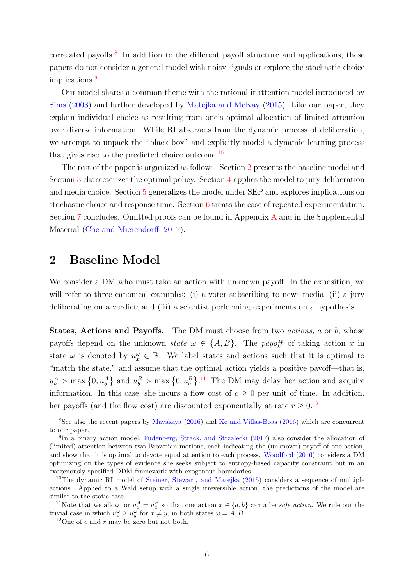<span id="page-5-6"></span>correlated payoffs.<sup>[8](#page-5-0)</sup> In addition to the different payoff structure and applications, these papers do not consider a general model with noisy signals or explore the stochastic choice implications.<sup>[9](#page-5-1)</sup>

Our model shares a common theme with the rational inattention model introduced by [Sims](#page-39-6) [\(2003\)](#page-39-6) and further developed by [Matejka and McKay](#page-38-8) [\(2015\)](#page-38-8). Like our paper, they explain individual choice as resulting from one's optimal allocation of limited attention over diverse information. While RI abstracts from the dynamic process of deliberation, we attempt to unpack the "black box" and explicitly model a dynamic learning process that gives rise to the predicted choice outcome.<sup>[10](#page-5-2)</sup>

The rest of the paper is organized as follows. Section [2](#page-5-3) presents the baseline model and Section [3](#page-7-0) characterizes the optimal policy. Section [4](#page-14-0) applies the model to jury deliberation and media choice. Section [5](#page-21-0) generalizes the model under SEP and explores implications on stochastic choice and response time. Section [6](#page-25-0) treats the case of repeated experimentation. Section [7](#page-26-0) concludes. Omitted proofs can be found in Appendix [A](#page-27-0) and in the Supplemental Material [\(Che and Mierendorff,](#page-38-9) [2017\)](#page-38-9).

### <span id="page-5-3"></span>2 Baseline Model

We consider a DM who must take an action with unknown payoff. In the exposition, we will refer to three canonical examples: (i) a voter subscribing to news media; (ii) a jury deliberating on a verdict; and (iii) a scientist performing experiments on a hypothesis.

States, Actions and Payoffs. The DM must choose from two *actions*, a or b, whose payoffs depend on the unknown state  $\omega \in \{A, B\}$ . The payoff of taking action x in state  $\omega$  is denoted by  $u_x^{\omega} \in \mathbb{R}$ . We label states and actions such that it is optimal to "match the state," and assume that the optimal action yields a positive payoff—that is,  $u_a^A$  > max  $\{0, u_b^A\}$  and  $u_b^B$  > max  $\{0, u_a^B\}$ .<sup>[11](#page-5-4)</sup> The DM may delay her action and acquire information. In this case, she incurs a flow cost of  $c \geq 0$  per unit of time. In addition, her payoffs (and the flow cost) are discounted exponentially at rate  $r \geq 0.12$  $r \geq 0.12$ 

<span id="page-5-4"></span><sup>11</sup>Note that we allow for  $u_x^A = u_x^B$  so that one action  $x \in \{a, b\}$  can a be *safe action*. We rule out the trivial case in which  $u_x^{\omega} \ge u_y^{\omega}$  for  $x \ne y$ , in both states  $\omega = A, B$ .

<span id="page-5-0"></span><sup>8</sup>See also the recent papers by [Mayskaya](#page-38-10) [\(2016\)](#page-38-10) and [Ke and Villas-Boas](#page-38-11) [\(2016\)](#page-38-11) which are concurrent to our paper.

<span id="page-5-1"></span><sup>&</sup>lt;sup>9</sup>In a binary action model, [Fudenberg, Strack, and Strzalecki](#page-38-1) [\(2017\)](#page-38-1) also consider the allocation of (limited) attention between two Brownian motions, each indicating the (unknown) payoff of one action, and show that it is optimal to devote equal attention to each process. [Woodford](#page-39-7) [\(2016\)](#page-39-7) considers a DM optimizing on the types of evidence she seeks subject to entropy-based capacity constraint but in an exogenously specified DDM framework with exogenous boundaries.

<span id="page-5-2"></span><sup>&</sup>lt;sup>10</sup>The dynamic RI model of [Steiner, Stewart, and Matejka](#page-39-8)  $(2015)$  considers a sequence of multiple actions. Applied to a Wald setup with a single irreversible action, the predictions of the model are similar to the static case.

<span id="page-5-5"></span><sup>&</sup>lt;sup>12</sup>One of c and r may be zero but not both.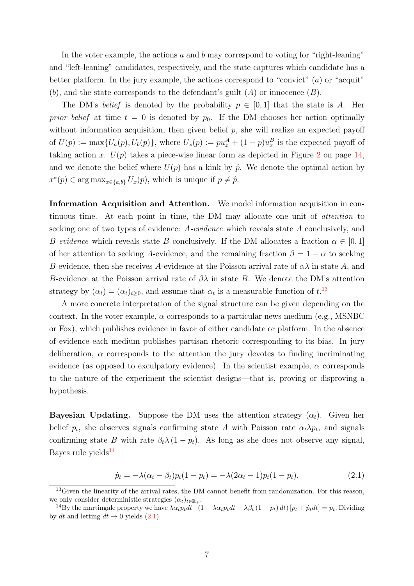In the voter example, the actions  $a$  and  $b$  may correspond to voting for "right-leaning" and "left-leaning" candidates, respectively, and the state captures which candidate has a better platform. In the jury example, the actions correspond to "convict"  $(a)$  or "acquit"  $(b)$ , and the state corresponds to the defendant's guilt  $(A)$  or innocence  $(B)$ .

The DM's belief is denoted by the probability  $p \in [0,1]$  that the state is A. Her prior belief at time  $t = 0$  is denoted by  $p_0$ . If the DM chooses her action optimally without information acquisition, then given belief  $p$ , she will realize an expected payoff of  $U(p) := \max\{U_a(p), U_b(p)\},\$  where  $U_x(p) := pu_x^A + (1-p)u_x^B$  is the expected payoff of taking action x.  $U(p)$  takes a piece-wise linear form as depicted in Figure [2](#page-13-0) on page [14,](#page-13-0) and we denote the belief where  $U(p)$  has a kink by  $\hat{p}$ . We denote the optimal action by  $x^*(p) \in \arg \max_{x \in \{a,b\}} U_x(p)$ , which is unique if  $p \neq \hat{p}$ .

Information Acquisition and Attention. We model information acquisition in continuous time. At each point in time, the DM may allocate one unit of attention to seeking one of two types of evidence: A-evidence which reveals state A conclusively, and B-evidence which reveals state B conclusively. If the DM allocates a fraction  $\alpha \in [0,1]$ of her attention to seeking A-evidence, and the remaining fraction  $\beta = 1 - \alpha$  to seeking B-evidence, then she receives A-evidence at the Poisson arrival rate of  $\alpha\lambda$  in state A, and B-evidence at the Poisson arrival rate of  $\beta\lambda$  in state B. We denote the DM's attention strategy by  $(\alpha_t) = (\alpha_t)_{t \geq 0}$ , and assume that  $\alpha_t$  is a measurable function of  $t$ .<sup>[13](#page-6-0)</sup>

A more concrete interpretation of the signal structure can be given depending on the context. In the voter example,  $\alpha$  corresponds to a particular news medium (e.g., MSNBC) or Fox), which publishes evidence in favor of either candidate or platform. In the absence of evidence each medium publishes partisan rhetoric corresponding to its bias. In jury deliberation,  $\alpha$  corresponds to the attention the jury devotes to finding incriminating evidence (as opposed to exculpatory evidence). In the scientist example,  $\alpha$  corresponds to the nature of the experiment the scientist designs—that is, proving or disproving a hypothesis.

**Bayesian Updating.** Suppose the DM uses the attention strategy  $(\alpha_t)$ . Given her belief  $p_t$ , she observes signals confirming state A with Poisson rate  $\alpha_t \lambda p_t$ , and signals confirming state B with rate  $\beta_t \lambda (1 - p_t)$ . As long as she does not observe any signal, Bayes rule yields $^{14}$  $^{14}$  $^{14}$ 

<span id="page-6-2"></span>
$$
\dot{p}_t = -\lambda(\alpha_t - \beta_t)p_t(1 - p_t) = -\lambda(2\alpha_t - 1)p_t(1 - p_t). \tag{2.1}
$$

<span id="page-6-0"></span><sup>&</sup>lt;sup>13</sup>Given the linearity of the arrival rates, the DM cannot benefit from randomization. For this reason, we only consider deterministic strategies  $(\alpha_t)_{t \in \mathbb{R}_+}$ .

<span id="page-6-1"></span><sup>&</sup>lt;sup>14</sup>By the martingale property we have  $\lambda \alpha_t p_t dt + (1 - \lambda \alpha_t p_t dt - \lambda \beta_t (1 - p_t) dt) [p_t + \dot{p}_t dt] = p_t$ . Dividing by dt and letting  $dt \rightarrow 0$  yields [\(2.1\)](#page-6-2).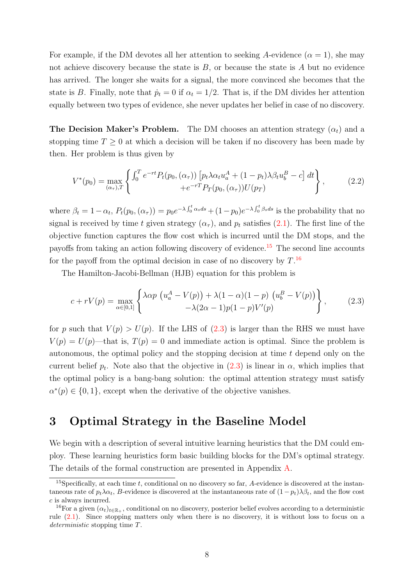For example, if the DM devotes all her attention to seeking A-evidence  $(\alpha = 1)$ , she may not achieve discovery because the state is  $B$ , or because the state is  $A$  but no evidence has arrived. The longer she waits for a signal, the more convinced she becomes that the state is B. Finally, note that  $\dot{p}_t = 0$  if  $\alpha_t = 1/2$ . That is, if the DM divides her attention equally between two types of evidence, she never updates her belief in case of no discovery.

**The Decision Maker's Problem.** The DM chooses an attention strategy  $(\alpha_t)$  and a stopping time  $T \geq 0$  at which a decision will be taken if no discovery has been made by then. Her problem is thus given by

$$
V^*(p_0) = \max_{(\alpha_\tau),T} \left\{ \int_0^T e^{-rt} P_t(p_0, (\alpha_\tau)) \left[ p_t \lambda \alpha_t u_a^A + (1 - p_t) \lambda \beta_t u_b^B - c \right] dt \right\}, \tag{2.2}
$$

where  $\beta_t = 1 - \alpha_t$ ,  $P_t(p_0, (\alpha_\tau)) = p_0 e^{-\lambda \int_0^t \alpha_s ds} + (1 - p_0) e^{-\lambda \int_0^t \beta_s ds}$  is the probability that no signal is received by time t given strategy  $(\alpha_{\tau})$ , and  $p_t$  satisfies [\(2.1\)](#page-6-2). The first line of the objective function captures the flow cost which is incurred until the DM stops, and the payoffs from taking an action following discovery of evidence.[15](#page-7-1) The second line accounts for the payoff from the optimal decision in case of no discovery by  $T$ .<sup>[16](#page-7-2)</sup>

The Hamilton-Jacobi-Bellman (HJB) equation for this problem is

<span id="page-7-3"></span>
$$
c + rV(p) = \max_{\alpha \in [0,1]} \left\{ \begin{aligned} \lambda \alpha p \left( u_a^A - V(p) \right) + \lambda (1 - \alpha)(1 - p) \left( u_b^B - V(p) \right) \\ - \lambda (2\alpha - 1) p(1 - p) V'(p) \end{aligned} \right\},\tag{2.3}
$$

for p such that  $V(p) > U(p)$ . If the LHS of [\(2.3\)](#page-7-3) is larger than the RHS we must have  $V(p) = U(p)$ —that is,  $T(p) = 0$  and immediate action is optimal. Since the problem is autonomous, the optimal policy and the stopping decision at time  $t$  depend only on the current belief  $p_t$ . Note also that the objective in  $(2.3)$  is linear in  $\alpha$ , which implies that the optimal policy is a bang-bang solution: the optimal attention strategy must satisfy  $\alpha^*(p) \in \{0,1\}$ , except when the derivative of the objective vanishes.

### <span id="page-7-0"></span>3 Optimal Strategy in the Baseline Model

We begin with a description of several intuitive learning heuristics that the DM could employ. These learning heuristics form basic building blocks for the DM's optimal strategy. The details of the formal construction are presented in Appendix [A.](#page-27-0)

<span id="page-7-1"></span><sup>&</sup>lt;sup>15</sup>Specifically, at each time t, conditional on no discovery so far, A-evidence is discovered at the instantaneous rate of  $p_t\lambda\alpha_t$ , B-evidence is discovered at the instantaneous rate of  $(1-p_t)\lambda\beta_t$ , and the flow cost c is always incurred.

<span id="page-7-2"></span><sup>&</sup>lt;sup>16</sup>For a given  $(\alpha_t)_{t\in\mathbb{R}_+}$ , conditional on no discovery, posterior belief evolves according to a deterministic rule [\(2.1\)](#page-6-2). Since stopping matters only when there is no discovery, it is without loss to focus on a deterministic stopping time T.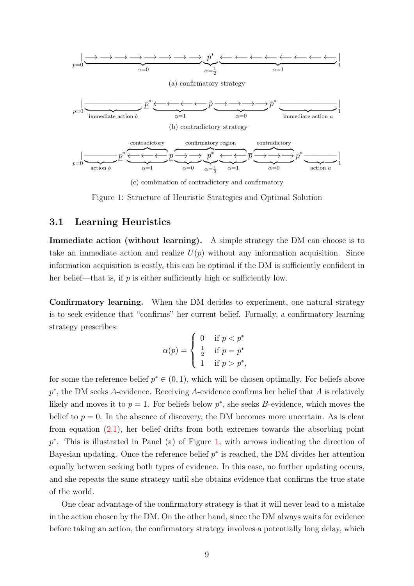<span id="page-8-0"></span>

(c) combination of contradictory and confirmatory

Figure 1: Structure of Heuristic Strategies and Optimal Solution

#### 3.1 Learning Heuristics

Immediate action (without learning). A simple strategy the DM can choose is to take an immediate action and realize  $U(p)$  without any information acquisition. Since information acquisition is costly, this can be optimal if the DM is sufficiently confident in her belief—that is, if  $p$  is either sufficiently high or sufficiently low.

Confirmatory learning. When the DM decides to experiment, one natural strategy is to seek evidence that "confirms" her current belief. Formally, a confirmatory learning strategy prescribes:

$$
\alpha(p) = \begin{cases} \n0 & \text{if } p < p^* \\ \n\frac{1}{2} & \text{if } p = p^* \\ \n1 & \text{if } p > p^*, \n\end{cases}
$$

for some the reference belief  $p^* \in (0,1)$ , which will be chosen optimally. For beliefs above  $p^*$ , the DM seeks A-evidence. Receiving A-evidence confirms her belief that A is relatively likely and moves it to  $p = 1$ . For beliefs below  $p^*$ , she seeks B-evidence, which moves the belief to  $p = 0$ . In the absence of discovery, the DM becomes more uncertain. As is clear from equation [\(2.1\)](#page-6-2), her belief drifts from both extremes towards the absorbing point p<sup>\*</sup>. This is illustrated in Panel (a) of Figure [1,](#page-8-0) with arrows indicating the direction of Bayesian updating. Once the reference belief  $p^*$  is reached, the DM divides her attention equally between seeking both types of evidence. In this case, no further updating occurs, and she repeats the same strategy until she obtains evidence that confirms the true state of the world.

One clear advantage of the confirmatory strategy is that it will never lead to a mistake in the action chosen by the DM. On the other hand, since the DM always waits for evidence before taking an action, the confirmatory strategy involves a potentially long delay, which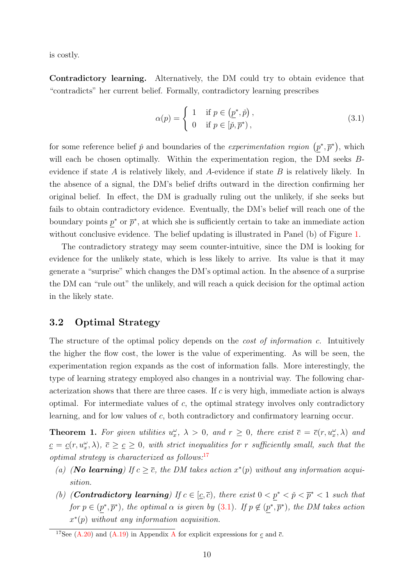is costly.

Contradictory learning. Alternatively, the DM could try to obtain evidence that "contradicts" her current belief. Formally, contradictory learning prescribes

<span id="page-9-1"></span>
$$
\alpha(p) = \begin{cases} 1 & \text{if } p \in (\underline{p}^*, \check{p}), \\ 0 & \text{if } p \in [\check{p}, \overline{p}^*) \end{cases}
$$
 (3.1)

for some reference belief  $\check{p}$  and boundaries of the *experimentation region*  $(p^*, \bar{p}^*)$ , which will each be chosen optimally. Within the experimentation region, the DM seeks Bevidence if state  $A$  is relatively likely, and  $A$ -evidence if state  $B$  is relatively likely. In the absence of a signal, the DM's belief drifts outward in the direction confirming her original belief. In effect, the DM is gradually ruling out the unlikely, if she seeks but fails to obtain contradictory evidence. Eventually, the DM's belief will reach one of the boundary points  $p^*$  or  $\bar{p}^*$ , at which she is sufficiently certain to take an immediate action without conclusive evidence. The belief updating is illustrated in Panel (b) of Figure [1.](#page-8-0)

The contradictory strategy may seem counter-intuitive, since the DM is looking for evidence for the unlikely state, which is less likely to arrive. Its value is that it may generate a "surprise" which changes the DM's optimal action. In the absence of a surprise the DM can "rule out" the unlikely, and will reach a quick decision for the optimal action in the likely state.

#### 3.2 Optimal Strategy

The structure of the optimal policy depends on the *cost of information c*. Intuitively the higher the flow cost, the lower is the value of experimenting. As will be seen, the experimentation region expands as the cost of information falls. More interestingly, the type of learning strategy employed also changes in a nontrivial way. The following characterization shows that there are three cases. If  $c$  is very high, immediate action is always optimal. For intermediate values of  $c$ , the optimal strategy involves only contradictory learning, and for low values of c, both contradictory and confirmatory learning occur.

<span id="page-9-2"></span>**Theorem 1.** For given utilities  $u_x^{\omega}$ ,  $\lambda > 0$ , and  $r \geq 0$ , there exist  $\bar{c} = \bar{c}(r, u_x^{\omega}, \lambda)$  and  $c = c(r, u_x^{\omega}, \lambda), \bar{c} \geq c \geq 0$ , with strict inequalities for r sufficiently small, such that the optimal strategy is characterized as follows: $17$ 

- (a) (**No learning**) If  $c \geq \overline{c}$ , the DM takes action  $x^*(p)$  without any information acquisition.
- (b) (**Contradictory learning**) If  $c \in [\underline{c}, \overline{c})$ , there exist  $0 < p^* < \tilde{p} < \overline{p}^* < 1$  such that for  $p \in (p^*, \overline{p}^*)$ , the optimal  $\alpha$  is given by [\(3.1\)](#page-9-1). If  $p \notin (p^*, \overline{p}^*)$ , the DM takes action  $x^*(p)$  without any information acquisition.

<span id="page-9-0"></span><sup>&</sup>lt;sup>17</sup>See [\(A.20\)](#page-36-0) and [\(A.19\)](#page-36-1) in [A](#page-27-0)ppendix A for explicit expressions for c and  $\bar{c}$ .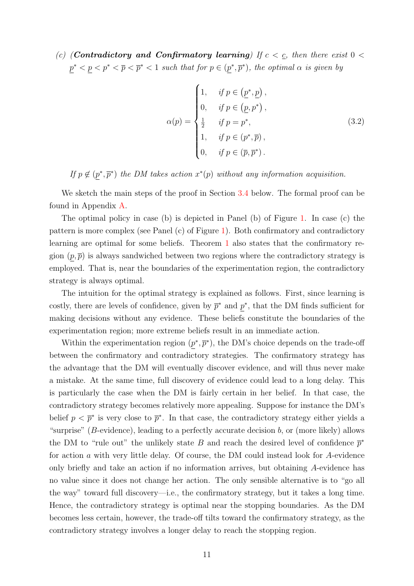(c) (**Contradictory and Confirmatory learning**) If  $c < c$ , then there exist  $0 <$  $p^* < p < p^* < \overline{p} < \overline{p}^* < 1$  such that for  $p \in (p^*, \overline{p}^*)$ , the optimal  $\alpha$  is given by

<span id="page-10-0"></span>
$$
\alpha(p) = \begin{cases}\n1, & \text{if } p \in (\underline{p}^*, \underline{p}), \\
0, & \text{if } p \in (\underline{p}, p^*) , \\
\frac{1}{2} & \text{if } p = p^*, \\
1, & \text{if } p \in (p^*, \overline{p}), \\
0, & \text{if } p \in (\overline{p}, \overline{p}^*) .\n\end{cases}
$$
\n(3.2)

If  $p \notin (p^*, \overline{p}^*)$  the DM takes action  $x^*(p)$  without any information acquisition.

We sketch the main steps of the proof in Section [3.4](#page-12-0) below. The formal proof can be found in Appendix [A.](#page-27-0)

The optimal policy in case (b) is depicted in Panel (b) of Figure [1.](#page-8-0) In case (c) the pattern is more complex (see Panel (c) of Figure [1\)](#page-8-0). Both confirmatory and contradictory learning are optimal for some beliefs. Theorem [1](#page-9-2) also states that the confirmatory region  $(p, \bar{p})$  is always sandwiched between two regions where the contradictory strategy is employed. That is, near the boundaries of the experimentation region, the contradictory strategy is always optimal.

The intuition for the optimal strategy is explained as follows. First, since learning is costly, there are levels of confidence, given by  $\bar{p}^*$  and  $p^*$ , that the DM finds sufficient for making decisions without any evidence. These beliefs constitute the boundaries of the experimentation region; more extreme beliefs result in an immediate action.

Within the experimentation region  $(p^*, \bar{p}^*)$ , the DM's choice depends on the trade-off between the confirmatory and contradictory strategies. The confirmatory strategy has the advantage that the DM will eventually discover evidence, and will thus never make a mistake. At the same time, full discovery of evidence could lead to a long delay. This is particularly the case when the DM is fairly certain in her belief. In that case, the contradictory strategy becomes relatively more appealing. Suppose for instance the DM's belief  $p < \bar{p}^*$  is very close to  $\bar{p}^*$ . In that case, the contradictory strategy either yields a "surprise" (B-evidence), leading to a perfectly accurate decision  $b$ , or (more likely) allows the DM to "rule out" the unlikely state B and reach the desired level of confidence  $\bar{p}^*$ for action a with very little delay. Of course, the DM could instead look for A-evidence only briefly and take an action if no information arrives, but obtaining A-evidence has no value since it does not change her action. The only sensible alternative is to "go all the way" toward full discovery—i.e., the confirmatory strategy, but it takes a long time. Hence, the contradictory strategy is optimal near the stopping boundaries. As the DM becomes less certain, however, the trade-off tilts toward the confirmatory strategy, as the contradictory strategy involves a longer delay to reach the stopping region.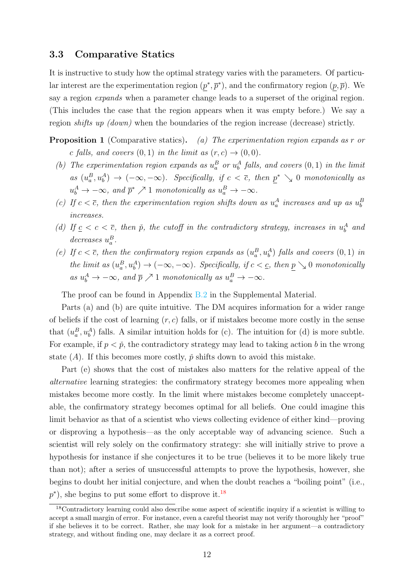#### 3.3 Comparative Statics

It is instructive to study how the optimal strategy varies with the parameters. Of particular interest are the experimentation region  $(p^*, \bar{p}^*)$ , and the confirmatory region  $(p, \bar{p})$ . We say a region *expands* when a parameter change leads to a superset of the original region. (This includes the case that the region appears when it was empty before.) We say a region shifts up (down) when the boundaries of the region increase (decrease) strictly.

- **Proposition 1** (Comparative statics). (a) The experimentation region expands as r or c falls, and covers  $(0, 1)$  in the limit as  $(r, c) \rightarrow (0, 0)$ .
	- (b) The experimentation region expands as  $u_a^B$  or  $u_b^A$  falls, and covers  $(0,1)$  in the limit as  $(u_a^B, u_b^A) \to (-\infty, -\infty)$ . Specifically, if  $c < \overline{c}$ , then  $\underline{p}^* \searrow 0$  monotonically as  $u_b^A \to -\infty$ , and  $\bar{p}^* \nearrow 1$  monotonically as  $u_a^B \to -\infty$ .
	- (c) If  $c < \overline{c}$ , then the experimentation region shifts down as  $u_a^A$  increases and up as  $u_b^B$ increases.
	- (d) If  $c < c < \overline{c}$ , then  $\tilde{p}$ , the cutoff in the contradictory strategy, increases in  $u_b^A$  and decreases  $u_a^B$ .
	- (e) If  $c < \overline{c}$ , then the confirmatory region expands as  $(u_a^B, u_b^A)$  falls and covers  $(0, 1)$  in the limit as  $(u_a^B, u_b^A) \to (-\infty, -\infty)$ . Specifically, if  $c < \underline{c}$ , then  $\underline{p} \searrow 0$  monotonically as  $u_b^A \to -\infty$ , and  $\bar{p} \nearrow 1$  monotonically as  $u_a^B \to -\infty$ .

<span id="page-11-1"></span>The proof can be found in Appendix B.2 in the Supplemental Material.

Parts (a) and (b) are quite intuitive. The DM acquires information for a wider range of beliefs if the cost of learning  $(r, c)$  falls, or if mistakes become more costly in the sense that  $(u_a^B, u_b^A)$  falls. A similar intuition holds for (c). The intuition for (d) is more subtle. For example, if  $p < p$ , the contradictory strategy may lead to taking action b in the wrong state (A). If this becomes more costly,  $\check{p}$  shifts down to avoid this mistake.

Part (e) shows that the cost of mistakes also matters for the relative appeal of the alternative learning strategies: the confirmatory strategy becomes more appealing when mistakes become more costly. In the limit where mistakes become completely unacceptable, the confirmatory strategy becomes optimal for all beliefs. One could imagine this limit behavior as that of a scientist who views collecting evidence of either kind—proving or disproving a hypothesis—as the only acceptable way of advancing science. Such a scientist will rely solely on the confirmatory strategy: she will initially strive to prove a hypothesis for instance if she conjectures it to be true (believes it to be more likely true than not); after a series of unsuccessful attempts to prove the hypothesis, however, she begins to doubt her initial conjecture, and when the doubt reaches a "boiling point" (i.e.,  $p^*$ ), she begins to put some effort to disprove it.<sup>[18](#page-11-0)</sup>

<span id="page-11-0"></span><sup>18</sup>Contradictory learning could also describe some aspect of scientific inquiry if a scientist is willing to accept a small margin of error. For instance, even a careful theorist may not verify thoroughly her "proof" if she believes it to be correct. Rather, she may look for a mistake in her argument—a contradictory strategy, and without finding one, may declare it as a correct proof.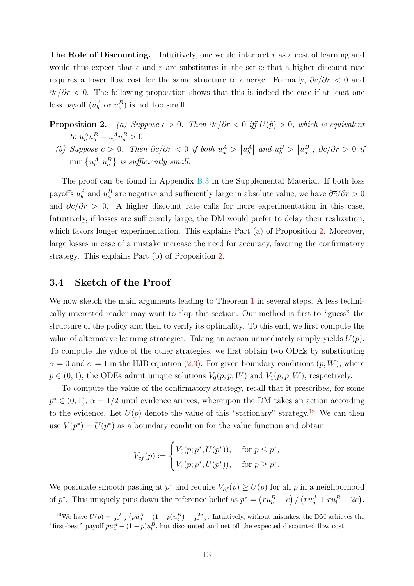**The Role of Discounting.** Intuitively, one would interpret  $r$  as a cost of learning and would thus expect that c and r are substitutes in the sense that a higher discount rate requires a lower flow cost for the same structure to emerge. Formally,  $\partial \overline{c}/\partial r < 0$  and  $\partial \underline{c}/\partial r$  < 0. The following proposition shows that this is indeed the case if at least one loss payoff  $(u_b^A \text{ or } u_a^B)$  is not too small.

- <span id="page-12-1"></span>**Proposition 2.** (a) Suppose  $\overline{c} > 0$ . Then  $\partial \overline{c}/\partial r < 0$  iff  $U(\hat{p}) > 0$ , which is equivalent  $to u_a^Au_b^B - u_b^Au_a^B > 0.$ 
	- (b) Suppose  $\underline{c} > 0$ . Then  $\partial \underline{c}/\partial r < 0$  if both  $u_a^A > |u_b^A|$  and  $u_b^B > |u_a^B|$ ;  $\partial \underline{c}/\partial r > 0$  if  $\min\left\{u^A_b,u^B_a\right\}$  is sufficiently small.

The proof can be found in Appendix B.3 in the Supplemental Material. If both loss payoffs  $u_b^A$  and  $u_a^B$  are negative and sufficiently large in absolute value, we have  $\partial \overline{c}/\partial r > 0$ and  $\partial \underline{c}/\partial r > 0$ . A higher discount rate calls for more experimentation in this case. Intuitively, if losses are sufficiently large, the DM would prefer to delay their realization, which favors longer experimentation. This explains Part (a) of Proposition [2.](#page-12-1) Moreover, large losses in case of a mistake increase the need for accuracy, favoring the confirmatory strategy. This explains Part (b) of Proposition [2.](#page-12-1)

#### <span id="page-12-0"></span>3.4 Sketch of the Proof

We now sketch the main arguments leading to Theorem [1](#page-9-2) in several steps. A less technically interested reader may want to skip this section. Our method is first to "guess" the structure of the policy and then to verify its optimality. To this end, we first compute the value of alternative learning strategies. Taking an action immediately simply yields  $U(p)$ . To compute the value of the other strategies, we first obtain two ODEs by substituting  $\alpha = 0$  and  $\alpha = 1$  in the HJB equation [\(2.3\)](#page-7-3). For given boundary conditions ( $\tilde{p}, W$ ), where  $\tilde{p} \in (0, 1)$ , the ODEs admit unique solutions  $V_0(p; \tilde{p}, W)$  and  $V_1(p; \tilde{p}, W)$ , respectively.

To compute the value of the confirmatory strategy, recall that it prescribes, for some  $p^* \in (0, 1)$ ,  $\alpha = 1/2$  until evidence arrives, whereupon the DM takes an action according to the evidence. Let  $\overline{U}(p)$  denote the value of this "stationary" strategy.<sup>[19](#page-12-2)</sup> We can then use  $V(p^*) = \overline{U}(p^*)$  as a boundary condition for the value function and obtain

$$
V_{cf}(p) := \begin{cases} V_0(p; p^*, \overline{U}(p^*)), & \text{for } p \leq p^*, \\ V_1(p; p^*, \overline{U}(p^*)), & \text{for } p \geq p^*. \end{cases}
$$

We postulate smooth pasting at  $p^*$  and require  $V_{cf}(p) \geq \overline{U}(p)$  for all p in a neighborhood of  $p^*$ . This uniquely pins down the reference belief as  $p^* = (ru_b^B + c) / (ru_a^A + ru_b^B + 2c)$ .

<span id="page-12-2"></span><sup>&</sup>lt;sup>19</sup>We have  $\overline{U}(p) = \frac{\lambda}{2r+\lambda} \left( pu_a^A + (1-p)u_b^B \right) - \frac{2c}{2r+\lambda}$ . Intuitively, without mistakes, the DM achieves the "first-best" payoff  $pu_a^A + (1-p)u_b^B$ , but discounted and net off the expected discounted flow cost.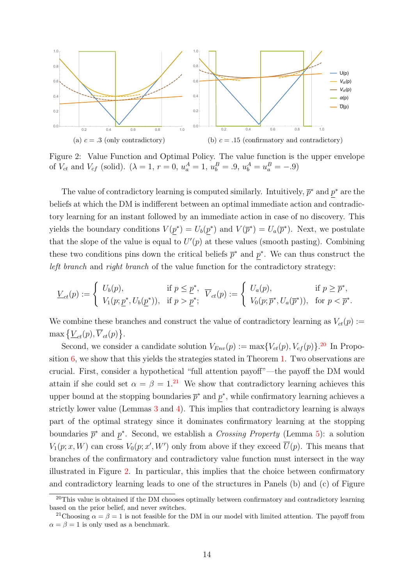<span id="page-13-0"></span>

Figure 2: Value Function and Optimal Policy. The value function is the upper envelope of  $V_{ct}$  and  $V_{cf}$  (solid).  $(\lambda = 1, r = 0, u_a^A = 1, u_b^B = .9, u_b^A = u_a^B = -.9)$ 

The value of contradictory learning is computed similarly. Intuitively,  $\bar{p}^*$  and  $p^*$  are the beliefs at which the DM is indifferent between an optimal immediate action and contradictory learning for an instant followed by an immediate action in case of no discovery. This yields the boundary conditions  $V(p^*) = U_b(p^*)$  and  $V(\bar{p}^*) = U_a(\bar{p}^*)$ . Next, we postulate that the slope of the value is equal to  $U'(p)$  at these values (smooth pasting). Combining these two conditions pins down the critical beliefs  $\bar{p}^*$  and  $p^*$ . We can thus construct the left branch and right branch of the value function for the contradictory strategy:

$$
\underline{V}_{ct}(p) := \begin{cases} U_b(p), & \text{if } p \leq \underline{p}^*, \\ V_1(p; \underline{p}^*, U_b(\underline{p}^*)), & \text{if } p > \underline{p}^*; \end{cases} \overline{V}_{ct}(p) := \begin{cases} U_a(p), & \text{if } p \geq \overline{p}^*, \\ V_0(p; \overline{p}^*, U_a(\overline{p}^*)), & \text{for } p < \overline{p}^*. \end{cases}
$$

We combine these branches and construct the value of contradictory learning as  $V_{ct}(p) :=$  $\max \left\{ \underline{V}_{ct}(p), \overline{V}_{ct}(p) \right\}.$ 

Second, we consider a candidate solution  $V_{Env}(p) := \max\{V_{ct}(p), V_{cf}(p)\}.$ <sup>[20](#page-13-1)</sup> In Proposition [6,](#page-33-0) we show that this yields the strategies stated in Theorem [1.](#page-9-2) Two observations are crucial. First, consider a hypothetical "full attention payoff"—the payoff the DM would attain if she could set  $\alpha = \beta = 1^{21}$  $\alpha = \beta = 1^{21}$  $\alpha = \beta = 1^{21}$  We show that contradictory learning achieves this upper bound at the stopping boundaries  $\bar{p}^*$  and  $p^*$ , while confirmatory learning achieves a strictly lower value (Lemmas [3](#page-0-0) and [4\)](#page-32-0). This implies that contradictory learning is always part of the optimal strategy since it dominates confirmatory learning at the stopping boundaries  $\bar{p}^*$  and  $p^*$ . Second, we establish a *Crossing Property* (Lemma [5\)](#page-32-1): a solution  $V_1(p; x, W)$  can cross  $V_0(p; x', W')$  only from above if they exceed  $\overline{U}(p)$ . This means that branches of the confirmatory and contradictory value function must intersect in the way illustrated in Figure [2.](#page-13-0) In particular, this implies that the choice between confirmatory and contradictory learning leads to one of the structures in Panels (b) and (c) of Figure

<span id="page-13-1"></span><sup>&</sup>lt;sup>20</sup>This value is obtained if the DM chooses optimally between confirmatory and contradictory learning based on the prior belief, and never switches.

<span id="page-13-2"></span><sup>&</sup>lt;sup>21</sup>Choosing  $\alpha = \beta = 1$  is not feasible for the DM in our model with limited attention. The payoff from  $\alpha = \beta = 1$  is only used as a benchmark.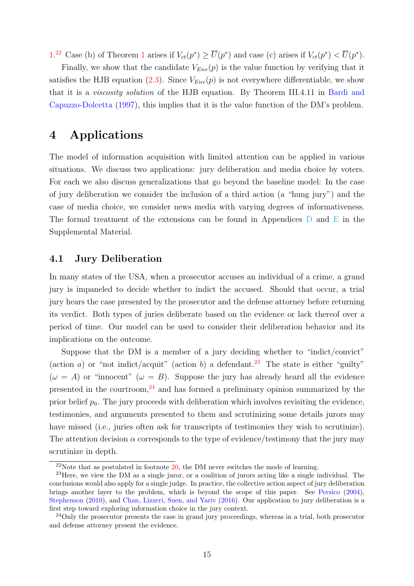<span id="page-14-4"></span>[1.](#page-8-0)<sup>[22](#page-14-1)</sup> Case (b) of Theorem [1](#page-9-2) arises if  $V_{ct}(p^*) \ge \overline{U}(p^*)$  and case (c) arises if  $V_{ct}(p^*) < \overline{U}(p^*)$ .

Finally, we show that the candidate  $V_{Env}(p)$  is the value function by verifying that it satisfies the HJB equation [\(2.3\)](#page-7-3). Since  $V_{Env}(p)$  is not everywhere differentiable, we show that it is a viscosity solution of the HJB equation. By Theorem III.4.11 in [Bardi and](#page-38-12) [Capuzzo-Dolcetta](#page-38-12) [\(1997\)](#page-38-12), this implies that it is the value function of the DM's problem.

### <span id="page-14-0"></span>4 Applications

The model of information acquisition with limited attention can be applied in various situations. We discuss two applications: jury deliberation and media choice by voters. For each we also discuss generalizations that go beyond the baseline model: In the case of jury deliberation we consider the inclusion of a third action (a "hung jury") and the case of media choice, we consider news media with varying degrees of informativeness. The formal treatment of the extensions can be found in Appendices  $D$  and  $E$  in the Supplemental Material.

#### 4.1 Jury Deliberation

In many states of the USA, when a prosecutor accuses an individual of a crime, a grand jury is impaneled to decide whether to indict the accused. Should that occur, a trial jury hears the case presented by the prosecutor and the defense attorney before returning its verdict. Both types of juries deliberate based on the evidence or lack thereof over a period of time. Our model can be used to consider their deliberation behavior and its implications on the outcome.

Suppose that the DM is a member of a jury deciding whether to "indict/convict" (action a) or "not indict/acquit" (action b) a defendant.<sup>[23](#page-14-2)</sup> The state is either "guilty"  $(\omega = A)$  or "innocent"  $(\omega = B)$ . Suppose the jury has already heard all the evidence presented in the courtroom, $^{24}$  $^{24}$  $^{24}$  and has formed a preliminary opinion summarized by the prior belief  $p_0$ . The jury proceeds with deliberation which involves revisiting the evidence, testimonies, and arguments presented to them and scrutinizing some details jurors may have missed (i.e., juries often ask for transcripts of testimonies they wish to scrutinize). The attention decision  $\alpha$  corresponds to the type of evidence/testimony that the jury may scrutinize in depth.

<span id="page-14-2"></span><span id="page-14-1"></span> $22$ Note that as postulated in footnote  $20$ , the DM never switches the mode of learning.

<sup>23</sup>Here, we view the DM as a single juror, or a coalition of jurors acting like a single individual. The conclusions would also apply for a single judge. In practice, the collective action aspect of jury deliberation brings another layer to the problem, which is beyond the scope of this paper. See [Persico](#page-39-9) [\(2004\)](#page-39-9), [Stephenson](#page-39-10) [\(2010\)](#page-39-10), and [Chan, Lizzeri, Suen, and Yariv](#page-38-6) [\(2016\)](#page-38-6). Our application to jury deliberation is a first step toward exploring information choice in the jury context.

<span id="page-14-3"></span><sup>&</sup>lt;sup>24</sup>Only the prosecutor presents the case in grand jury proceedings, whereas in a trial, both prosecutor and defense attorney present the evidence.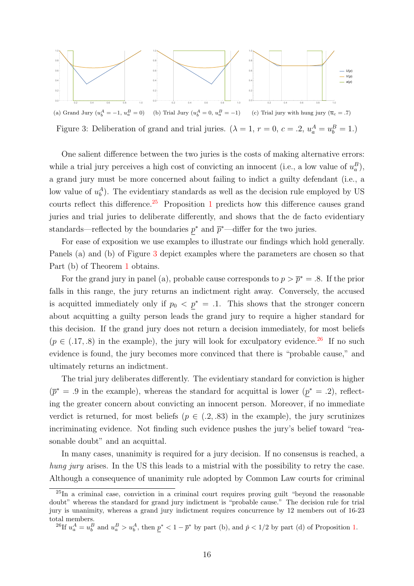<span id="page-15-1"></span>

Figure 3: Deliberation of grand and trial juries. ( $\lambda = 1$ ,  $r = 0$ ,  $c = .2$ ,  $u_a^A = u_b^B = 1$ .)

One salient difference between the two juries is the costs of making alternative errors: while a trial jury perceives a high cost of convicting an innocent (i.e., a low value of  $u_a^B$ ), a grand jury must be more concerned about failing to indict a guilty defendant (i.e., a low value of  $u_b^A$ ). The evidentiary standards as well as the decision rule employed by US courts reflect this difference.<sup>[25](#page-15-0)</sup> Proposition [1](#page-11-1) predicts how this difference causes grand juries and trial juries to deliberate differently, and shows that the de facto evidentiary standards—reflected by the boundaries  $p^*$  and  $\bar{p}^*$ —differ for the two juries.

For ease of exposition we use examples to illustrate our findings which hold generally. Panels (a) and (b) of Figure [3](#page-15-1) depict examples where the parameters are chosen so that Part (b) of Theorem [1](#page-9-2) obtains.

For the grand jury in panel (a), probable cause corresponds to  $p > \bar{p}^* = .8$ . If the prior falls in this range, the jury returns an indictment right away. Conversely, the accused is acquitted immediately only if  $p_0 < p^* = .1$ . This shows that the stronger concern about acquitting a guilty person leads the grand jury to require a higher standard for this decision. If the grand jury does not return a decision immediately, for most beliefs  $(p \in (.17, .8)$  in the example), the jury will look for exculpatory evidence.<sup>[26](#page-15-2)</sup> If no such evidence is found, the jury becomes more convinced that there is "probable cause," and ultimately returns an indictment.

The trial jury deliberates differently. The evidentiary standard for conviction is higher  $(\bar{p}^* = .9 \text{ in the example}),$  whereas the standard for acquittal is lower  $(p^* = .2)$ , reflecting the greater concern about convicting an innocent person. Moreover, if no immediate verdict is returned, for most beliefs ( $p \in (0.2, 0.83)$  in the example), the jury scrutinizes incriminating evidence. Not finding such evidence pushes the jury's belief toward "reasonable doubt" and an acquittal.

In many cases, unanimity is required for a jury decision. If no consensus is reached, a hung jury arises. In the US this leads to a mistrial with the possibility to retry the case. Although a consequence of unanimity rule adopted by Common Law courts for criminal

<span id="page-15-0"></span> $^{25}$ In a criminal case, conviction in a criminal court requires proving guilt "beyond the reasonable" doubt" whereas the standard for grand jury indictment is "probable cause." The decision rule for trial jury is unanimity, whereas a grand jury indictment requires concurrence by 12 members out of 16-23 total members.

<span id="page-15-2"></span><sup>&</sup>lt;sup>26</sup>If  $u_a^A = u_b^B$  and  $u_a^B > u_b^A$ , then  $\underline{p}^* < 1 - \overline{p}^*$  by part (b), and  $\check{p} < 1/2$  by part (d) of Proposition [1.](#page-11-1)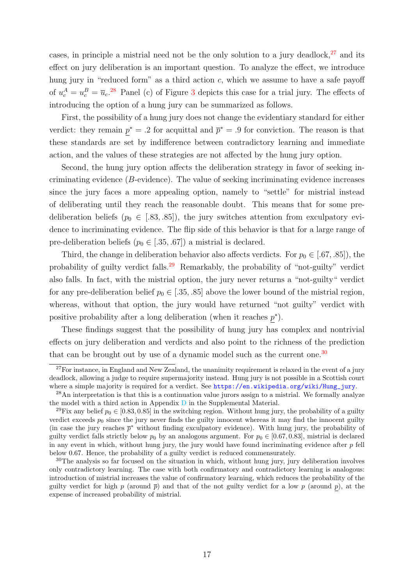cases, in principle a mistrial need not be the only solution to a jury deadlock, $27$  and its effect on jury deliberation is an important question. To analyze the effect, we introduce hung jury in "reduced form" as a third action  $c$ , which we assume to have a safe payoff of  $u_c^A = u_c^B = \overline{u}_c^{28}$  $u_c^A = u_c^B = \overline{u}_c^{28}$  $u_c^A = u_c^B = \overline{u}_c^{28}$  Panel (c) of Figure [3](#page-15-1) depicts this case for a trial jury. The effects of introducing the option of a hung jury can be summarized as follows.

First, the possibility of a hung jury does not change the evidentiary standard for either verdict: they remain  $p^* = .2$  for acquittal and  $\bar{p}^* = .9$  for conviction. The reason is that these standards are set by indifference between contradictory learning and immediate action, and the values of these strategies are not affected by the hung jury option.

Second, the hung jury option affects the deliberation strategy in favor of seeking incriminating evidence (B-evidence). The value of seeking incriminating evidence increases since the jury faces a more appealing option, namely to "settle" for mistrial instead of deliberating until they reach the reasonable doubt. This means that for some predeliberation beliefs ( $p_0 \in [.83, .85]$ ), the jury switches attention from exculpatory evidence to incriminating evidence. The flip side of this behavior is that for a large range of pre-deliberation beliefs ( $p_0 \in [.35, .67]$ ) a mistrial is declared.

Third, the change in deliberation behavior also affects verdicts. For  $p_0 \in [.67, .85]$ , the probability of guilty verdict falls.[29](#page-16-2) Remarkably, the probability of "not-guilty" verdict also falls. In fact, with the mistrial option, the jury never returns a "not-guilty" verdict for any pre-deliberation belief  $p_0 \in [.35, .85]$  above the lower bound of the mistrial region, whereas, without that option, the jury would have returned "not guilty" verdict with positive probability after a long deliberation (when it reaches  $p^*$ ).

These findings suggest that the possibility of hung jury has complex and nontrivial effects on jury deliberation and verdicts and also point to the richness of the prediction that can be brought out by use of a dynamic model such as the current one.<sup>[30](#page-16-3)</sup>

<span id="page-16-0"></span><sup>&</sup>lt;sup>27</sup>For instance, in England and New Zealand, the unanimity requirement is relaxed in the event of a jury deadlock, allowing a judge to require supermajority instead. Hung jury is not possible in a Scottish court where a simple majority is required for a verdict. See [https://en.wikipedia.org/wiki/Hung\\_jury](https://en.wikipedia.org/wiki/Hung_jury).

<span id="page-16-1"></span><sup>&</sup>lt;sup>28</sup>An interpretation is that this is a continuation value jurors assign to a mistrial. We formally analyze the model with a third action in Appendix D in the Supplemental Material.

<span id="page-16-2"></span><sup>&</sup>lt;sup>29</sup>Fix any belief  $p_0 \in [0.83, 0.85]$  in the switching region. Without hung jury, the probability of a guilty verdict exceeds  $p_0$  since the jury never finds the guilty innocent whereas it may find the innocent guilty (in case the jury reaches  $\bar{p}^*$  without finding exculpatory evidence). With hung jury, the probability of guilty verdict falls strictly below  $p_0$  by an analogous argument. For  $p_0 \in [0.67, 0.83]$ , mistrial is declared in any event in which, without hung jury, the jury would have found incriminating evidence after  $p$  fell below 0.67. Hence, the probability of a guilty verdict is reduced commensurately.

<span id="page-16-3"></span><sup>&</sup>lt;sup>30</sup>The analysis so far focused on the situation in which, without hung jury, jury deliberation involves only contradictory learning. The case with both confirmatory and contradictory learning is analogous: introduction of mistrial increases the value of confirmatory learning, which reduces the probability of the guilty verdict for high p (around  $\bar{p}$ ) and that of the not guilty verdict for a low p (around p), at the expense of increased probability of mistrial.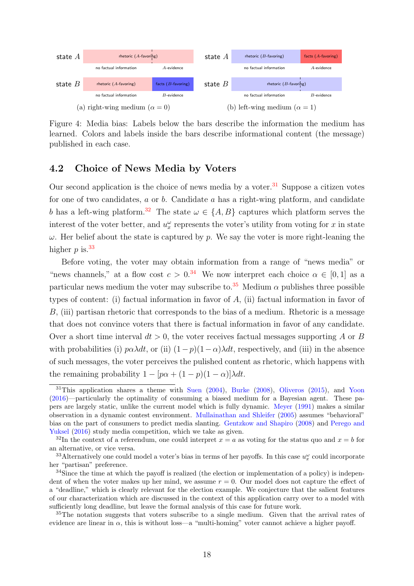<span id="page-17-6"></span><span id="page-17-5"></span>

Figure 4: Media bias: Labels below the bars describe the information the medium has learned. Colors and labels inside the bars describe informational content (the message) published in each case.

#### 4.2 Choice of News Media by Voters

Our second application is the choice of news media by a voter. $31$  Suppose a citizen votes for one of two candidates,  $a$  or  $b$ . Candidate  $a$  has a right-wing platform, and candidate b has a left-wing platform.<sup>[32](#page-17-1)</sup> The state  $\omega \in \{A, B\}$  captures which platform serves the interest of the voter better, and  $u_x^{\omega}$  represents the voter's utility from voting for x in state  $\omega$ . Her belief about the state is captured by p. We say the voter is more right-leaning the higher  $p$  is.<sup>[33](#page-17-2)</sup>

Before voting, the voter may obtain information from a range of "news media" or "news channels," at a flow cost  $c > 0.34$  $c > 0.34$  We now interpret each choice  $\alpha \in [0,1]$  as a particular news medium the voter may subscribe to.<sup>[35](#page-17-4)</sup> Medium  $\alpha$  publishes three possible types of content: (i) factual information in favor of A, (ii) factual information in favor of B, (iii) partisan rhetoric that corresponds to the bias of a medium. Rhetoric is a message that does not convince voters that there is factual information in favor of any candidate. Over a short time interval  $dt > 0$ , the voter receives factual messages supporting A or B with probabilities (i)  $p\alpha\lambda dt$ , or (ii)  $(1-p)(1-\alpha)\lambda dt$ , respectively, and (iii) in the absence of such messages, the voter perceives the pulished content as rhetoric, which happens with the remaining probability  $1 - [p\alpha + (1 - p)(1 - \alpha)]\lambda dt$ .

<span id="page-17-0"></span> $31$ This application shares a theme with [Suen](#page-39-11) [\(2004\)](#page-39-11), [Burke](#page-38-13) [\(2008\)](#page-38-13), [Oliveros](#page-39-12) [\(2015\)](#page-39-12), and [Yoon](#page-39-13) [\(2016\)](#page-39-13)—particularly the optimality of consuming a biased medium for a Bayesian agent. These papers are largely static, unlike the current model which is fully dynamic. [Meyer](#page-39-14) [\(1991\)](#page-39-14) makes a similar observation in a dynamic contest environment. [Mullainathan and Shleifer](#page-39-15) [\(2005\)](#page-39-15) assumes "behavioral" bias on the part of consumers to predict media slanting. [Gentzkow and Shapiro](#page-38-14) [\(2008\)](#page-38-14) and [Perego and](#page-39-16) [Yuksel](#page-39-16) [\(2016\)](#page-39-16) study media competition, which we take as given.

<span id="page-17-1"></span><sup>&</sup>lt;sup>32</sup>In the context of a referendum, one could interpret  $x = a$  as voting for the status quo and  $x = b$  for an alternative, or vice versa.

<span id="page-17-2"></span><sup>&</sup>lt;sup>33</sup>Alternatively one could model a voter's bias in terms of her payoffs. In this case  $u_x^{\omega}$  could incorporate her "partisan" preference.

<span id="page-17-3"></span><sup>&</sup>lt;sup>34</sup>Since the time at which the payoff is realized (the election or implementation of a policy) is independent of when the voter makes up her mind, we assume  $r = 0$ . Our model does not capture the effect of a "deadline," which is clearly relevant for the election example. We conjecture that the salient features of our characterization which are discussed in the context of this application carry over to a model with sufficiently long deadline, but leave the formal analysis of this case for future work.

<span id="page-17-4"></span><sup>&</sup>lt;sup>35</sup>The notation suggests that voters subscribe to a single medium. Given that the arrival rates of evidence are linear in  $\alpha$ , this is without loss—a "multi-homing" voter cannot achieve a higher payoff.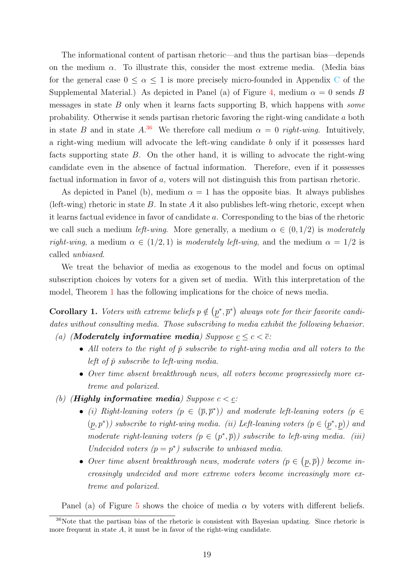The informational content of partisan rhetoric—and thus the partisan bias—depends on the medium  $\alpha$ . To illustrate this, consider the most extreme media. (Media bias for the general case  $0 \le \alpha \le 1$  is more precisely micro-founded in Appendix C of the Supplemental Material.) As depicted in Panel (a) of Figure [4,](#page-17-5) medium  $\alpha = 0$  sends B messages in state  $B$  only when it learns facts supporting  $B$ , which happens with *some* probability. Otherwise it sends partisan rhetoric favoring the right-wing candidate a both in state B and in state  $A^{36}$  $A^{36}$  $A^{36}$  We therefore call medium  $\alpha = 0$  right-wing. Intuitively, a right-wing medium will advocate the left-wing candidate b only if it possesses hard facts supporting state  $B$ . On the other hand, it is willing to advocate the right-wing candidate even in the absence of factual information. Therefore, even if it possesses factual information in favor of a, voters will not distinguish this from partisan rhetoric.

As depicted in Panel (b), medium  $\alpha = 1$  has the opposite bias. It always publishes (left-wing) rhetoric in state B. In state A it also publishes left-wing rhetoric, except when it learns factual evidence in favor of candidate a. Corresponding to the bias of the rhetoric we call such a medium *left-wing*. More generally, a medium  $\alpha \in (0, 1/2)$  is moderately right-wing, a medium  $\alpha \in (1/2, 1)$  is moderately left-wing, and the medium  $\alpha = 1/2$  is called unbiased.

We treat the behavior of media as exogenous to the model and focus on optimal subscription choices by voters for a given set of media. With this interpretation of the model, Theorem [1](#page-9-2) has the following implications for the choice of news media.

**Corollary 1.** Voters with extreme beliefs  $p \notin (p^*, \overline{p}^*)$  always vote for their favorite candidates without consulting media. Those subscribing to media exhibit the following behavior.

- (a) (**Moderately informative media**) Suppose  $\underline{c} \leq c < \overline{c}$ :
	- All voters to the right of  $\check{p}$  subscribe to right-wing media and all voters to the left of  $\check{p}$  subscribe to left-wing media.
	- Over time absent breakthrough news, all voters become progressively more extreme and polarized.
- (b) (**Highly informative media**) Suppose  $c < c$ :
	- (i) Right-leaning voters  $(p \in (\bar{p}, \bar{p}^*))$  and moderate left-leaning voters  $(p \in$  $(p, p^*)$  subscribe to right-wing media. (ii) Left-leaning voters  $(p \in (p^*, p))$  and moderate right-leaning voters  $(p \in (p^*, \overline{p}))$  subscribe to left-wing media. (iii) Undecided voters  $(p = p^*)$  subscribe to unbiased media.
	- Over time absent breakthrough news, moderate voters  $(p \in (p, \overline{p}))$  become increasingly undecided and more extreme voters become increasingly more extreme and polarized.

<span id="page-18-0"></span>Panel (a) of Figure [5](#page-19-0) shows the choice of media  $\alpha$  by voters with different beliefs.

<sup>36</sup>Note that the partisan bias of the rhetoric is consistent with Bayesian updating. Since rhetoric is more frequent in state  $A$ , it must be in favor of the right-wing candidate.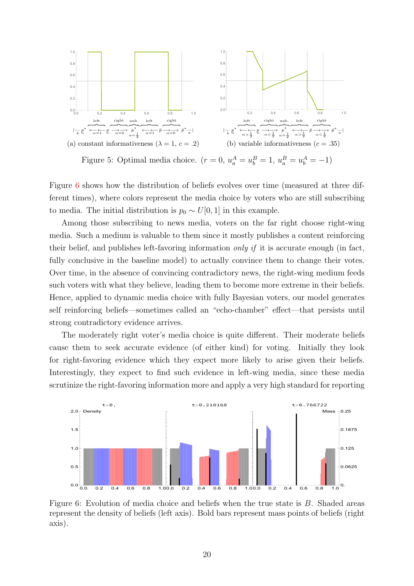<span id="page-19-0"></span>

Figure [6](#page-19-1) shows how the distribution of beliefs evolves over time (measured at three different times), where colors represent the media choice by voters who are still subscribing to media. The initial distribution is  $p_0 \sim U[0, 1]$  in this example.

Among those subscribing to news media, voters on the far right choose right-wing media. Such a medium is valuable to them since it mostly publishes a content reinforcing their belief, and publishes left-favoring information only if it is accurate enough (in fact, fully conclusive in the baseline model) to actually convince them to change their votes. Over time, in the absence of convincing contradictory news, the right-wing medium feeds such voters with what they believe, leading them to become more extreme in their beliefs. Hence, applied to dynamic media choice with fully Bayesian voters, our model generates self reinforcing beliefs—sometimes called an "echo-chamber" effect—that persists until strong contradictory evidence arrives.

The moderately right voter's media choice is quite different. Their moderate beliefs cause them to seek accurate evidence (of either kind) for voting. Initially they look for right-favoring evidence which they expect more likely to arise given their beliefs. Interestingly, they expect to find such evidence in left-wing media, since these media scrutinize the right-favoring information more and apply a very high standard for reporting

<span id="page-19-1"></span>

Figure 6: Evolution of media choice and beliefs when the true state is B. Shaded areas represent the density of beliefs (left axis). Bold bars represent mass points of beliefs (right axis).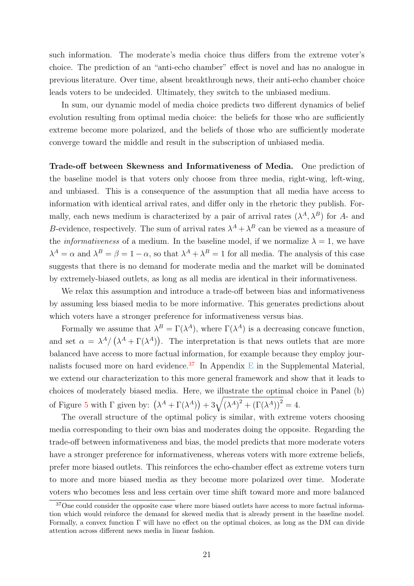such information. The moderate's media choice thus differs from the extreme voter's choice. The prediction of an "anti-echo chamber" effect is novel and has no analogue in previous literature. Over time, absent breakthrough news, their anti-echo chamber choice leads voters to be undecided. Ultimately, they switch to the unbiased medium.

In sum, our dynamic model of media choice predicts two different dynamics of belief evolution resulting from optimal media choice: the beliefs for those who are sufficiently extreme become more polarized, and the beliefs of those who are sufficiently moderate converge toward the middle and result in the subscription of unbiased media.

Trade-off between Skewness and Informativeness of Media. One prediction of the baseline model is that voters only choose from three media, right-wing, left-wing, and unbiased. This is a consequence of the assumption that all media have access to information with identical arrival rates, and differ only in the rhetoric they publish. Formally, each news medium is characterized by a pair of arrival rates  $(\lambda^A, \lambda^B)$  for A- and B-evidence, respectively. The sum of arrival rates  $\lambda^A + \lambda^B$  can be viewed as a measure of the *informativeness* of a medium. In the baseline model, if we normalize  $\lambda = 1$ , we have  $\lambda^A = \alpha$  and  $\lambda^B = \beta = 1 - \alpha$ , so that  $\lambda^A + \lambda^B = 1$  for all media. The analysis of this case suggests that there is no demand for moderate media and the market will be dominated by extremely-biased outlets, as long as all media are identical in their informativeness.

We relax this assumption and introduce a trade-off between bias and informativeness by assuming less biased media to be more informative. This generates predictions about which voters have a stronger preference for informativeness versus bias.

Formally we assume that  $\lambda^B = \Gamma(\lambda^A)$ , where  $\Gamma(\lambda^A)$  is a decreasing concave function, and set  $\alpha = \lambda^A / (\lambda^A + \Gamma(\lambda^A))$ . The interpretation is that news outlets that are more balanced have access to more factual information, for example because they employ jour-nalists focused more on hard evidence.<sup>[37](#page-20-0)</sup> In Appendix E in the Supplemental Material, we extend our characterization to this more general framework and show that it leads to choices of moderately biased media. Here, we illustrate the optimal choice in Panel (b) of Figure [5](#page-19-0) with  $\Gamma$  given by:  $(\lambda^A + \Gamma(\lambda^A)) + 3\sqrt{(\lambda^A)^2 + (\Gamma(\lambda^A))^2} = 4$ .

The overall structure of the optimal policy is similar, with extreme voters choosing media corresponding to their own bias and moderates doing the opposite. Regarding the trade-off between informativeness and bias, the model predicts that more moderate voters have a stronger preference for informativeness, whereas voters with more extreme beliefs, prefer more biased outlets. This reinforces the echo-chamber effect as extreme voters turn to more and more biased media as they become more polarized over time. Moderate voters who becomes less and less certain over time shift toward more and more balanced

<span id="page-20-0"></span><sup>&</sup>lt;sup>37</sup>One could consider the opposite case where more biased outlets have access to more factual information which would reinforce the demand for skewed media that is already present in the baseline model. Formally, a convex function Γ will have no effect on the optimal choices, as long as the DM can divide attention across different news media in linear fashion.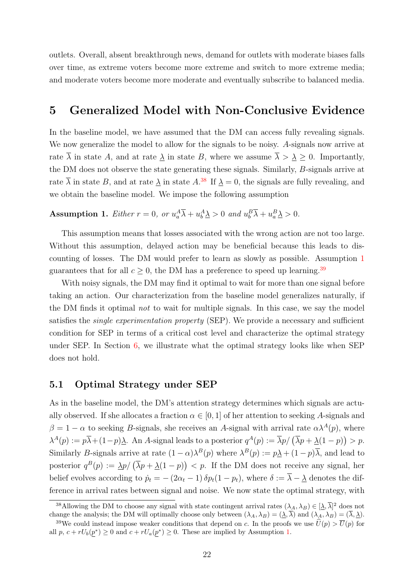outlets. Overall, absent breakthrough news, demand for outlets with moderate biases falls over time, as extreme voters become more extreme and switch to more extreme media; and moderate voters become more moderate and eventually subscribe to balanced media.

### <span id="page-21-0"></span>5 Generalized Model with Non-Conclusive Evidence

In the baseline model, we have assumed that the DM can access fully revealing signals. We now generalize the model to allow for the signals to be noisy. A-signals now arrive at rate  $\overline{\lambda}$  in state A, and at rate  $\underline{\lambda}$  in state B, where we assume  $\overline{\lambda} > \underline{\lambda} \geq 0$ . Importantly, the DM does not observe the state generating these signals. Similarly, B-signals arrive at rate  $\overline{\lambda}$  in state B, and at rate  $\underline{\lambda}$  in state  $A$ .<sup>[38](#page-21-1)</sup> If  $\underline{\lambda} = 0$ , the signals are fully revealing, and we obtain the baseline model. We impose the following assumption

### <span id="page-21-2"></span>Assumption 1. *Either*  $r = 0$ , or  $u_a^A \overline{\lambda} + u_b^A \underline{\lambda} > 0$  and  $u_b^B \overline{\lambda} + u_a^B \underline{\lambda} > 0$ .

This assumption means that losses associated with the wrong action are not too large. Without this assumption, delayed action may be beneficial because this leads to discounting of losses. The DM would prefer to learn as slowly as possible. Assumption [1](#page-21-2) guarantees that for all  $c \geq 0$ , the DM has a preference to speed up learning.<sup>[39](#page-21-3)</sup>

With noisy signals, the DM may find it optimal to wait for more than one signal before taking an action. Our characterization from the baseline model generalizes naturally, if the DM finds it optimal not to wait for multiple signals. In this case, we say the model satisfies the *single experimentation property* (SEP). We provide a necessary and sufficient condition for SEP in terms of a critical cost level and characterize the optimal strategy under SEP. In Section [6,](#page-25-0) we illustrate what the optimal strategy looks like when SEP does not hold.

#### 5.1 Optimal Strategy under SEP

As in the baseline model, the DM's attention strategy determines which signals are actually observed. If she allocates a fraction  $\alpha \in [0,1]$  of her attention to seeking A-signals and  $\beta = 1 - \alpha$  to seeking B-signals, she receives an A-signal with arrival rate  $\alpha \lambda^{A}(p)$ , where  $\lambda^{A}(p) := p\overline{\lambda} + (1-p)\underline{\lambda}$ . An A-signal leads to a posterior  $q^{A}(p) := \overline{\lambda}p/\left(\overline{\lambda}p + \underline{\lambda}(1-p)\right) > p$ . Similarly B-signals arrive at rate  $(1 - \alpha)\lambda^{B}(p)$  where  $\lambda^{B}(p) := p\lambda + (1 - p)\overline{\lambda}$ , and lead to posterior  $q^B(p) := \frac{\lambda p}{\lambda p + \lambda(1-p)}$  < p. If the DM does not receive any signal, her belief evolves according to  $\dot{p}_t = -(2\alpha_t - 1)\delta p_t(1 - p_t)$ , where  $\delta := \overline{\lambda} - \underline{\lambda}$  denotes the difference in arrival rates between signal and noise. We now state the optimal strategy, with

<span id="page-21-1"></span><sup>&</sup>lt;sup>38</sup>Allowing the DM to choose any signal with state contingent arrival rates  $(\lambda_A, \lambda_B) \in [\underline{\lambda}, \overline{\lambda}]^2$  does not change the analysis; the DM will optimally choose only between  $(\lambda_A, \lambda_B) = (\lambda, \overline{\lambda})$  and  $(\lambda_A, \lambda_B) = (\overline{\lambda}, \underline{\lambda})$ .

<span id="page-21-3"></span><sup>&</sup>lt;sup>39</sup>We could instead impose weaker conditions that depend on c. In the proofs we use  $\hat{U}(p) > \overline{U}(p)$  for all  $p, c + rU_b(p^*) \ge 0$  and  $c + rU_a(p^*) \ge 0$ . These are implied by Assumption [1.](#page-21-2)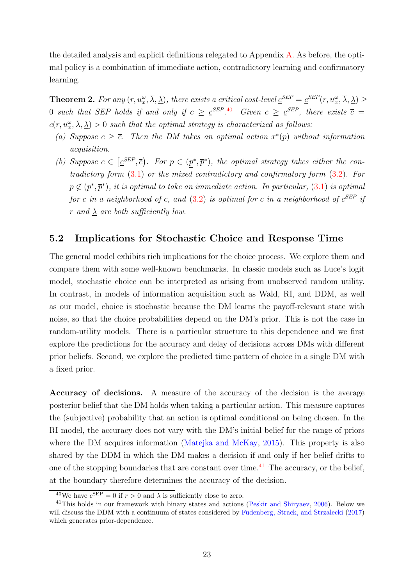<span id="page-22-3"></span>the detailed analysis and explicit definitions relegated to Appendix [A.](#page-27-0) As before, the optimal policy is a combination of immediate action, contradictory learning and confirmatory learning.

<span id="page-22-2"></span>**Theorem 2.** For any  $(r, u_x^{\omega}, \overline{\lambda}, \underline{\lambda})$ , there exists a critical cost-level  $\underline{c}^{SEP} = \underline{c}^{SEP}(r, u_x^{\omega}, \overline{\lambda}, \underline{\lambda}) \geq$ 0 such that SEP holds if and only if  $c \geq c^{SEP \cdot 40}$  $c \geq c^{SEP \cdot 40}$  $c \geq c^{SEP \cdot 40}$  Given  $c \geq c^{SEP}$ , there exists  $\bar{c} =$  $\overline{c}(r,u^{\omega}_x,\overline{\lambda},\underline{\lambda})>0$  such that the optimal strategy is characterized as follows:

- (a) Suppose  $c \geq \overline{c}$ . Then the DM takes an optimal action  $x^*(p)$  without information acquisition.
- (b) Suppose  $c \in [\underline{c}^{SEP}, \overline{c})$ . For  $p \in (p^*, \overline{p}^*)$ , the optimal strategy takes either the contradictory form [\(3.1\)](#page-9-1) or the mixed contradictory and confirmatory form [\(3.2\)](#page-10-0). For  $p \notin (p^*, \overline{p}^*)$ , it is optimal to take an immediate action. In particular, [\(3.1\)](#page-9-1) is optimal for c in a neighborhood of  $\overline{c}$ , and  $(3.2)$  is optimal for c in a neighborhood of  $\underline{c}^{SEP}$  if r and  $\lambda$  are both sufficiently low.

### 5.2 Implications for Stochastic Choice and Response Time

The general model exhibits rich implications for the choice process. We explore them and compare them with some well-known benchmarks. In classic models such as Luce's logit model, stochastic choice can be interpreted as arising from unobserved random utility. In contrast, in models of information acquisition such as Wald, RI, and DDM, as well as our model, choice is stochastic because the DM learns the payoff-relevant state with noise, so that the choice probabilities depend on the DM's prior. This is not the case in random-utility models. There is a particular structure to this dependence and we first explore the predictions for the accuracy and delay of decisions across DMs with different prior beliefs. Second, we explore the predicted time pattern of choice in a single DM with a fixed prior.

Accuracy of decisions. A measure of the accuracy of the decision is the average posterior belief that the DM holds when taking a particular action. This measure captures the (subjective) probability that an action is optimal conditional on being chosen. In the RI model, the accuracy does not vary with the DM's initial belief for the range of priors where the DM acquires information [\(Matejka and McKay,](#page-38-8) [2015\)](#page-38-8). This property is also shared by the DDM in which the DM makes a decision if and only if her belief drifts to one of the stopping boundaries that are constant over time.<sup>[41](#page-22-1)</sup> The accuracy, or the belief, at the boundary therefore determines the accuracy of the decision.

<span id="page-22-1"></span><span id="page-22-0"></span><sup>&</sup>lt;sup>40</sup>We have <u>c</u><sup>SEP</sup> = 0 if  $r > 0$  and  $\lambda$  is sufficiently close to zero.

<sup>&</sup>lt;sup>41</sup>This holds in our framework with binary states and actions [\(Peskir and Shiryaev,](#page-39-1) [2006\)](#page-39-1). Below we will discuss the DDM with a continuum of states considered by [Fudenberg, Strack, and Strzalecki](#page-38-1) [\(2017\)](#page-38-1) which generates prior-dependence.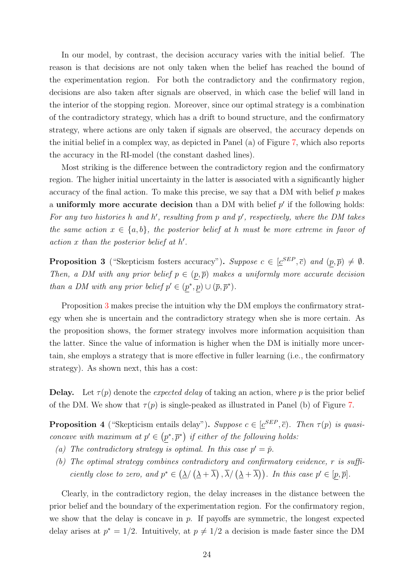In our model, by contrast, the decision accuracy varies with the initial belief. The reason is that decisions are not only taken when the belief has reached the bound of the experimentation region. For both the contradictory and the confirmatory region, decisions are also taken after signals are observed, in which case the belief will land in the interior of the stopping region. Moreover, since our optimal strategy is a combination of the contradictory strategy, which has a drift to bound structure, and the confirmatory strategy, where actions are only taken if signals are observed, the accuracy depends on the initial belief in a complex way, as depicted in Panel (a) of Figure [7,](#page-24-0) which also reports the accuracy in the RI-model (the constant dashed lines).

Most striking is the difference between the contradictory region and the confirmatory region. The higher initial uncertainty in the latter is associated with a significantly higher accuracy of the final action. To make this precise, we say that a DM with belief  $p$  makes a uniformly more accurate decision than a DM with belief  $p'$  if the following holds: For any two histories h and h', resulting from  $p$  and  $p'$ , respectively, where the DM takes the same action  $x \in \{a, b\}$ , the posterior belief at h must be more extreme in favor of  $action x than the posterior belief at h'.$ 

<span id="page-23-0"></span>**Proposition 3** ("Skepticism fosters accuracy"). Suppose  $c \in [\underline{c}^{SEP}, \overline{c})$  and  $(p, \overline{p}) \neq \emptyset$ . Then, a DM with any prior belief  $p \in (p, \overline{p})$  makes a uniformly more accurate decision than a DM with any prior belief  $p' \in (p^*, p) \cup (\overline{p}, \overline{p}^*)$ .

Proposition [3](#page-23-0) makes precise the intuition why the DM employs the confirmatory strategy when she is uncertain and the contradictory strategy when she is more certain. As the proposition shows, the former strategy involves more information acquisition than the latter. Since the value of information is higher when the DM is initially more uncertain, she employs a strategy that is more effective in fuller learning (i.e., the confirmatory strategy). As shown next, this has a cost:

**Delay.** Let  $\tau(p)$  denote the *expected delay* of taking an action, where p is the prior belief of the DM. We show that  $\tau(p)$  is single-peaked as illustrated in Panel (b) of Figure [7.](#page-24-0)

**Proposition 4** ("Skepticism entails delay"). Suppose  $c \in [\underline{c}^{SEP}, \overline{c})$ . Then  $\tau(p)$  is quasiconcave with maximum at  $p' \in (p^*, \overline{p}^*)$  if either of the following holds:

- (a) The contradictory strategy is optimal. In this case  $p' = \check{p}$ .
- (b) The optimal strategy combines contradictory and confirmatory evidence, r is sufficiently close to zero, and  $p^* \in (\underline{\lambda}/(\underline{\lambda} + \overline{\lambda}), \overline{\lambda}/(\underline{\lambda} + \overline{\lambda}))$ . In this case  $p' \in [p, \overline{p}]$ .

Clearly, in the contradictory region, the delay increases in the distance between the prior belief and the boundary of the experimentation region. For the confirmatory region, we show that the delay is concave in  $p$ . If payoffs are symmetric, the longest expected delay arises at  $p^* = 1/2$ . Intuitively, at  $p \neq 1/2$  a decision is made faster since the DM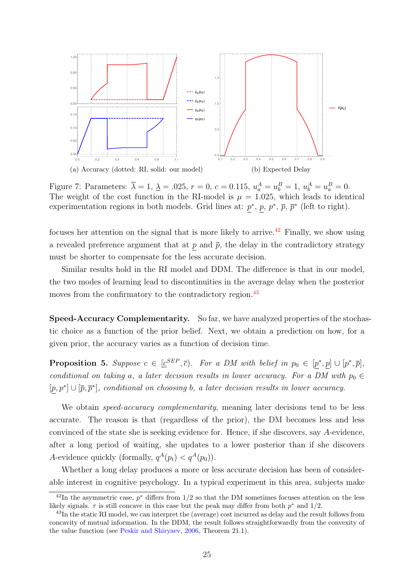<span id="page-24-3"></span><span id="page-24-0"></span>

Figure 7: Parameters:  $\bar{\lambda} = 1, \, \underline{\lambda} = .025, \, r = 0, \, c = 0.115, \, u_a^A = u_b^B = 1, \, u_b^A = u_a^B = 0.$ The weight of the cost function in the RI-model is  $\mu = 1.025$ , which leads to identical experimentation regions in both models. Grid lines at:  $p^*, p, p^*, \bar{p}, \bar{p}^*$  (left to right).

focuses her attention on the signal that is more likely to arrive.[42](#page-24-1) Finally, we show using a revealed preference argument that at  $p$  and  $\bar{p}$ , the delay in the contradictory strategy must be shorter to compensate for the less accurate decision.

Similar results hold in the RI model and DDM. The difference is that in our model, the two modes of learning lead to discontinuities in the average delay when the posterior moves from the confirmatory to the contradictory region.<sup>[43](#page-24-2)</sup>

Speed-Accuracy Complementarity. So far, we have analyzed properties of the stochastic choice as a function of the prior belief. Next, we obtain a prediction on how, for a given prior, the accuracy varies as a function of decision time.

**Proposition 5.** Suppose  $c \in [\underline{c}^{SEP}, \overline{c})$ . For a DM with belief in  $p_0 \in [p^*, p] \cup [p^*, \overline{p}]$ , conditional on taking a, a later decision results in lower accuracy. For a DM with  $p_0 \in$  $[p, p^*] \cup [\overline{p}, \overline{p}^*]$ , conditional on choosing b, a later decision results in lower accuracy.

We obtain *speed-accuracy complementarity*, meaning later decisions tend to be less accurate. The reason is that (regardless of the prior), the DM becomes less and less convinced of the state she is seeking evidence for. Hence, if she discovers, say A-evidence, after a long period of waiting, she updates to a lower posterior than if she discovers A-evidence quickly (formally,  $q^A(p_t) < q^A(p_0)$ ).

Whether a long delay produces a more or less accurate decision has been of considerable interest in cognitive psychology. In a typical experiment in this area, subjects make

<span id="page-24-1"></span><sup>&</sup>lt;sup>42</sup>In the asymmetric case,  $p^*$  differs from 1/2 so that the DM sometimes focuses attention on the less likely signals.  $\tau$  is still concave in this case but the peak may differ from both  $p^*$  and  $1/2$ .

<span id="page-24-2"></span><sup>&</sup>lt;sup>43</sup>In the static RI model, we can interpret the (average) cost incurred as delay and the result follows from concavity of mutual information. In the DDM, the result follows straightforwardly from the convexity of the value function (see [Peskir and Shiryaev,](#page-39-1) [2006,](#page-39-1) Theorem 21.1).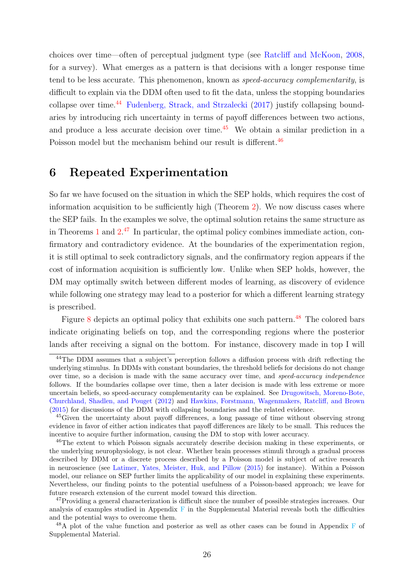<span id="page-25-6"></span>choices over time—often of perceptual judgment type (see [Ratcliff and McKoon,](#page-39-4) [2008,](#page-39-4) for a survey). What emerges as a pattern is that decisions with a longer response time tend to be less accurate. This phenomenon, known as *speed-accuracy complementarity*, is difficult to explain via the DDM often used to fit the data, unless the stopping boundaries collapse over time.<sup>[44](#page-25-2)</sup> [Fudenberg, Strack, and Strzalecki](#page-38-1) [\(2017\)](#page-38-1) justify collapsing boundaries by introducing rich uncertainty in terms of payoff differences between two actions, and produce a less accurate decision over time.<sup>[45](#page-25-3)</sup> We obtain a similar prediction in a Poisson model but the mechanism behind our result is different.<sup>[46](#page-25-1)</sup>

### <span id="page-25-0"></span>6 Repeated Experimentation

So far we have focused on the situation in which the SEP holds, which requires the cost of information acquisition to be sufficiently high (Theorem [2\)](#page-22-2). We now discuss cases where the SEP fails. In the examples we solve, the optimal solution retains the same structure as in Theorems [1](#page-9-2) and [2.](#page-22-2) [47](#page-25-4) In particular, the optimal policy combines immediate action, confirmatory and contradictory evidence. At the boundaries of the experimentation region, it is still optimal to seek contradictory signals, and the confirmatory region appears if the cost of information acquisition is sufficiently low. Unlike when SEP holds, however, the DM may optimally switch between different modes of learning, as discovery of evidence while following one strategy may lead to a posterior for which a different learning strategy is prescribed.

Figure [8](#page-26-1) depicts an optimal policy that exhibits one such pattern. $48$  The colored bars indicate originating beliefs on top, and the corresponding regions where the posterior lands after receiving a signal on the bottom. For instance, discovery made in top I will

<span id="page-25-2"></span><sup>&</sup>lt;sup>44</sup>The DDM assumes that a subject's perception follows a diffusion process with drift reflecting the underlying stimulus. In DDMs with constant boundaries, the threshold beliefs for decisions do not change over time, so a decision is made with the same accuracy over time, and speed-accuracy independence follows. If the boundaries collapse over time, then a later decision is made with less extreme or more uncertain beliefs, so speed-accuracy complementarity can be explained. See [Drugowitsch, Moreno-Bote,](#page-38-15) [Churchland, Shadlen, and Pouget](#page-38-15) [\(2012\)](#page-38-15) and [Hawkins, Forstmann, Wagenmakers, Ratcliff, and Brown](#page-38-16) [\(2015\)](#page-38-16) for discussions of the DDM with collapsing boundaries and the related evidence.

<span id="page-25-3"></span><sup>45</sup>Given the uncertainty about payoff differences, a long passage of time without observing strong evidence in favor of either action indicates that payoff differences are likely to be small. This reduces the incentive to acquire further information, causing the DM to stop with lower accuracy.

<span id="page-25-1"></span><sup>&</sup>lt;sup>46</sup>The extent to which Poisson signals accurately describe decision making in these experiments, or the underlying neurophysiology, is not clear. Whether brain processes stimuli through a gradual process described by DDM or a discrete process described by a Poisson model is subject of active research in neuroscience (see [Latimer, Yates, Meister, Huk, and Pillow](#page-38-17) [\(2015\)](#page-38-17) for instance). Within a Poisson model, our reliance on SEP further limits the applicability of our model in explaining these experiments. Nevertheless, our finding points to the potential usefulness of a Poisson-based approach; we leave for future research extension of the current model toward this direction.

<span id="page-25-4"></span><sup>&</sup>lt;sup>47</sup>Providing a general characterization is difficult since the number of possible strategies increases. Our analysis of examples studied in Appendix  $\bf{F}$  in the Supplemental Material reveals both the difficulties and the potential ways to overcome them.

<span id="page-25-5"></span><sup>&</sup>lt;sup>48</sup>A plot of the value function and posterior as well as other cases can be found in Appendix F of Supplemental Material.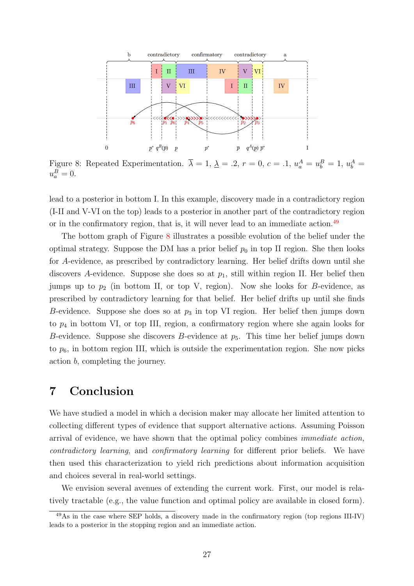<span id="page-26-1"></span>

Figure 8: Repeated Experimentation.  $\overline{\lambda} = 1, \underline{\lambda} = .2, r = 0, c = .1, u_a^A = u_b^B = 1, u_b^A =$  $u_a^B=0.$ 

lead to a posterior in bottom I. In this example, discovery made in a contradictory region (I-II and V-VI on the top) leads to a posterior in another part of the contradictory region or in the confirmatory region, that is, it will never lead to an immediate action. $49$ 

The bottom graph of Figure [8](#page-26-1) illustrates a possible evolution of the belief under the optimal strategy. Suppose the DM has a prior belief  $p_0$  in top II region. She then looks for A-evidence, as prescribed by contradictory learning. Her belief drifts down until she discovers A-evidence. Suppose she does so at  $p_1$ , still within region II. Her belief then jumps up to  $p_2$  (in bottom II, or top V, region). Now she looks for B-evidence, as prescribed by contradictory learning for that belief. Her belief drifts up until she finds B-evidence. Suppose she does so at  $p_3$  in top VI region. Her belief then jumps down to  $p_4$  in bottom VI, or top III, region, a confirmatory region where she again looks for B-evidence. Suppose she discovers B-evidence at  $p_5$ . This time her belief jumps down to  $p_6$ , in bottom region III, which is outside the experimentation region. She now picks action b, completing the journey.

### <span id="page-26-0"></span>7 Conclusion

We have studied a model in which a decision maker may allocate her limited attention to collecting different types of evidence that support alternative actions. Assuming Poisson arrival of evidence, we have shown that the optimal policy combines immediate action, contradictory learning, and confirmatory learning for different prior beliefs. We have then used this characterization to yield rich predictions about information acquisition and choices several in real-world settings.

We envision several avenues of extending the current work. First, our model is relatively tractable (e.g., the value function and optimal policy are available in closed form).

<span id="page-26-2"></span><sup>49</sup>As in the case where SEP holds, a discovery made in the confirmatory region (top regions III-IV) leads to a posterior in the stopping region and an immediate action.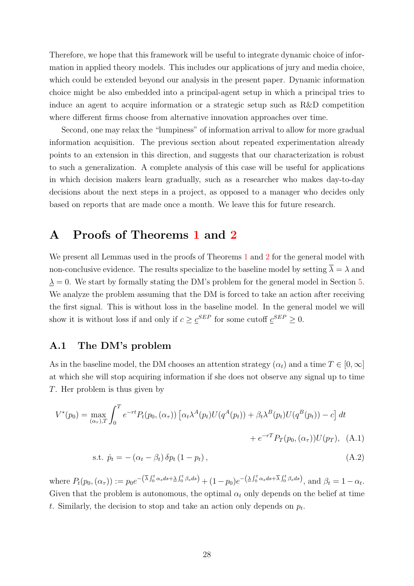Therefore, we hope that this framework will be useful to integrate dynamic choice of information in applied theory models. This includes our applications of jury and media choice, which could be extended beyond our analysis in the present paper. Dynamic information choice might be also embedded into a principal-agent setup in which a principal tries to induce an agent to acquire information or a strategic setup such as R&D competition where different firms choose from alternative innovation approaches over time.

Second, one may relax the "lumpiness" of information arrival to allow for more gradual information acquisition. The previous section about repeated experimentation already points to an extension in this direction, and suggests that our characterization is robust to such a generalization. A complete analysis of this case will be useful for applications in which decision makers learn gradually, such as a researcher who makes day-to-day decisions about the next steps in a project, as opposed to a manager who decides only based on reports that are made once a month. We leave this for future research.

### <span id="page-27-0"></span>A Proofs of Theorems [1](#page-9-2) and [2](#page-22-2)

We present all Lemmas used in the proofs of Theorems [1](#page-9-2) and [2](#page-22-2) for the general model with non-conclusive evidence. The results specialize to the baseline model by setting  $\overline{\lambda} = \lambda$  and  $\Delta = 0$ . We start by formally stating the DM's problem for the general model in Section [5.](#page-21-0) We analyze the problem assuming that the DM is forced to take an action after receiving the first signal. This is without loss in the baseline model. In the general model we will show it is without loss if and only if  $c \geq \mathcal{C}^{SEP}$  for some cutoff  $\mathcal{C}^{SEP} \geq 0$ .

#### A.1 The DM's problem

As in the baseline model, the DM chooses an attention strategy  $(\alpha_t)$  and a time  $T \in [0, \infty]$ at which she will stop acquiring information if she does not observe any signal up to time T. Her problem is thus given by

$$
V^*(p_0) = \max_{(\alpha_\tau),T} \int_0^T e^{-rt} P_t(p_0, (\alpha_\tau)) \left[ \alpha_t \lambda^A(p_t) U(q^A(p_t)) + \beta_t \lambda^B(p_t) U(q^B(p_t)) - c \right] dt
$$
  
+ 
$$
e^{-rT} P_T(p_0, (\alpha_\tau)) U(p_T), \quad (A.1)
$$

<span id="page-27-1"></span>s.t.  $\dot{p}_t = -(\alpha_t - \beta_t) \, \delta p_t (1 - p_t),$  (A.2)

where  $P_t(p_0, (\alpha_{\tau})) := p_0 e^{-(\overline{\lambda} \int_0^t \alpha_s ds + \underline{\lambda} \int_0^t \beta_s ds)} + (1 - p_0) e^{-(\underline{\lambda} \int_0^t \alpha_s ds + \overline{\lambda} \int_0^t \beta_s ds)},$  and  $\beta_t = 1 - \alpha_t$ . Given that the problem is autonomous, the optimal  $\alpha_t$  only depends on the belief at time t. Similarly, the decision to stop and take an action only depends on  $p_t$ .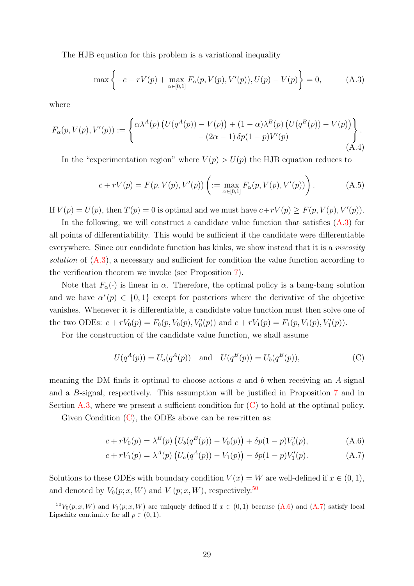The HJB equation for this problem is a variational inequality

<span id="page-28-0"></span>
$$
\max\left\{-c - rV(p) + \max_{\alpha \in [0,1]} F_{\alpha}(p, V(p), V'(p)), U(p) - V(p)\right\} = 0,
$$
\n(A.3)

where

<span id="page-28-6"></span>
$$
F_{\alpha}(p, V(p), V'(p)) := \begin{cases} \alpha \lambda^{A}(p) \left( U(q^{A}(p)) - V(p) \right) + (1 - \alpha) \lambda^{B}(p) \left( U(q^{B}(p)) - V(p) \right) \\ - (2\alpha - 1) \delta p(1 - p) V'(p) \end{cases}.
$$
\n(A.4)

In the "experimentation region" where  $V(p) > U(p)$  the HJB equation reduces to

<span id="page-28-5"></span>
$$
c + rV(p) = F(p, V(p), V'(p)) \left( := \max_{\alpha \in [0,1]} F_{\alpha}(p, V(p), V'(p)) \right).
$$
 (A.5)

If  $V(p) = U(p)$ , then  $T(p) = 0$  is optimal and we must have  $c+rV(p) \geq F(p, V(p), V'(p))$ .

In the following, we will construct a candidate value function that satisfies  $(A.3)$  for all points of differentiability. This would be sufficient if the candidate were differentiable everywhere. Since our candidate function has kinks, we show instead that it is a *viscosity* solution of [\(A.3\)](#page-28-0), a necessary and sufficient for condition the value function according to the verification theorem we invoke (see Proposition [7\)](#page-34-0).

Note that  $F_{\alpha}(\cdot)$  is linear in  $\alpha$ . Therefore, the optimal policy is a bang-bang solution and we have  $\alpha^*(p) \in \{0,1\}$  except for posteriors where the derivative of the objective vanishes. Whenever it is differentiable, a candidate value function must then solve one of the two ODEs:  $c + rV_0(p) = F_0(p, V_0(p), V'_0(p))$  and  $c + rV_1(p) = F_1(p, V_1(p), V'_1(p))$ .

For the construction of the candidate value function, we shall assume

<span id="page-28-3"></span><span id="page-28-1"></span>
$$
U(q^{A}(p)) = U_{a}(q^{A}(p)) \text{ and } U(q^{B}(p)) = U_{b}(q^{B}(p)),
$$
 (C)

meaning the DM finds it optimal to choose actions  $a$  and  $b$  when receiving an A-signal and a B-signal, respectively. This assumption will be justified in Proposition [7](#page-34-0) and in Section [A.3,](#page-29-0) where we present a sufficient condition for  $(C)$  to hold at the optimal policy.

Given Condition  $(C)$ , the ODEs above can be rewritten as:

$$
c + rV_0(p) = \lambda^B(p) \left( U_b(q^B(p)) - V_0(p) \right) + \delta p(1-p)V'_0(p), \tag{A.6}
$$

<span id="page-28-4"></span>
$$
c + rV_1(p) = \lambda^A(p) \left( U_a(q^A(p)) - V_1(p) \right) - \delta p(1-p)V'_1(p). \tag{A.7}
$$

Solutions to these ODEs with boundary condition  $V(x) = W$  are well-defined if  $x \in (0,1)$ , and denoted by  $V_0(p; x, W)$  and  $V_1(p; x, W)$ , respectively.<sup>[50](#page-28-2)</sup>

<span id="page-28-2"></span> ${}^{50}V_0(p; x, W)$  and  $V_1(p; x, W)$  are uniquely defined if  $x \in (0, 1)$  because  $(A.6)$  and  $(A.7)$  satisfy local Lipschitz continuity for all  $p \in (0, 1)$ .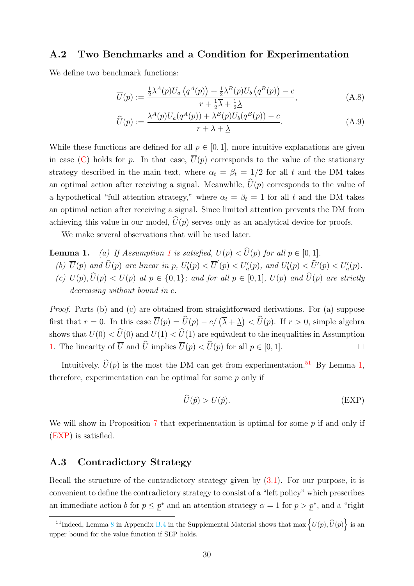#### A.2 Two Benchmarks and a Condition for Experimentation

We define two benchmark functions:

$$
\overline{U}(p) := \frac{\frac{1}{2}\lambda^{A}(p)U_{a}\left(q^{A}(p)\right) + \frac{1}{2}\lambda^{B}(p)U_{b}\left(q^{B}(p)\right) - c}{r + \frac{1}{2}\overline{\lambda} + \frac{1}{2}\underline{\lambda}}\tag{A.8}
$$

$$
\widehat{U}(p) := \frac{\lambda^{A}(p)U_{a}(q^{A}(p)) + \lambda^{B}(p)U_{b}(q^{B}(p)) - c}{r + \overline{\lambda} + \underline{\lambda}}.\tag{A.9}
$$

While these functions are defined for all  $p \in [0, 1]$ , more intuitive explanations are given in case [\(C\)](#page-28-1) holds for p. In that case,  $\overline{U}(p)$  corresponds to the value of the stationary strategy described in the main text, where  $\alpha_t = \beta_t = 1/2$  for all t and the DM takes an optimal action after receiving a signal. Meanwhile,  $\hat{U}(p)$  corresponds to the value of a hypothetical "full attention strategy," where  $\alpha_t = \beta_t = 1$  for all t and the DM takes an optimal action after receiving a signal. Since limited attention prevents the DM from achieving this value in our model,  $\hat{U}(p)$  serves only as an analytical device for proofs.

We make several observations that will be used later.

<span id="page-29-2"></span>**Lemma [1](#page-21-2).** (a) If Assumption 1 is satisfied,  $\overline{U}(p) < \widehat{U}(p)$  for all  $p \in [0, 1]$ . (b)  $\overline{U}(p)$  and  $\widehat{U}(p)$  are linear in p,  $U'_b(p) < \overline{U}'(p) < U'_a(p)$ , and  $U'_b(p) < \widehat{U}'(p) < U'_a(p)$ . (c)  $\overline{U}(p)$ ,  $\widehat{U}(p) < U(p)$  at  $p \in \{0,1\}$ ; and for all  $p \in [0,1]$ ,  $\overline{U}(p)$  and  $\widehat{U}(p)$  are strictly decreasing without bound in  $c$ .

Proof. Parts (b) and (c) are obtained from straightforward derivations. For (a) suppose first that  $r = 0$ . In this case  $\overline{U}(p) = \hat{U}(p) - c/\left(\overline{\lambda} + \underline{\lambda}\right) < \hat{U}(p)$ . If  $r > 0$ , simple algebra shows that  $\overline{U}(0) < \widehat{U}(0)$  and  $\overline{U}(1) < \widehat{U}(1)$  are equivalent to the inequalities in Assumption [1.](#page-21-2) The linearity of  $\overline{U}$  and  $\widehat{U}$  implies  $\overline{U}(p) < \widehat{U}(p)$  for all  $p \in [0, 1]$ .  $\Box$ 

Intuitively,  $\widehat{U}(p)$  is the most the DM can get from experimentation.<sup>[51](#page-29-1)</sup> By Lemma [1,](#page-29-2) therefore, experimentation can be optimal for some  $p$  only if

<span id="page-29-3"></span>
$$
\widehat{U}(\hat{p}) > U(\hat{p}).\tag{EXP}
$$

We will show in Proposition [7](#page-34-0) that experimentation is optimal for some  $p$  if and only if [\(EXP\)](#page-29-3) is satisfied.

### <span id="page-29-0"></span>A.3 Contradictory Strategy

Recall the structure of the contradictory strategy given by  $(3.1)$ . For our purpose, it is convenient to define the contradictory strategy to consist of a "left policy" which prescribes an immediate action b for  $p \leq p^*$  and an attention strategy  $\alpha = 1$  for  $p > p^*$ , and a "right"

<span id="page-29-1"></span><sup>&</sup>lt;sup>51</sup>Indeed, Lemma 8 in Appendix B.4 in the Supplemental Material shows that  $\max \left\{U(p), \widehat{U}(p)\right\}$  is an upper bound for the value function if SEP holds.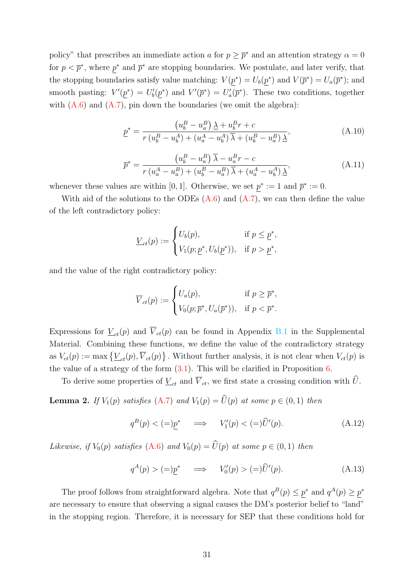policy" that prescribes an immediate action a for  $p \geq \bar{p}^*$  and an attention strategy  $\alpha = 0$ for  $p < \bar{p}^*$ , where  $p^*$  and  $\bar{p}^*$  are stopping boundaries. We postulate, and later verify, that the stopping boundaries satisfy value matching:  $V(p^*) = U_b(p^*)$  and  $V(\bar{p}^*) = U_a(\bar{p}^*)$ ; and smooth pasting:  $V'(\underline{p}^*) = U'_b(\underline{p}^*)$  and  $V'(\overline{p}^*) = U'_a(\overline{p}^*)$ . These two conditions, together with  $(A.6)$  and  $(A.7)$ , pin down the boundaries (we omit the algebra):

$$
\underline{p}^* = \frac{(u_b^B - u_a^B) \,\underline{\lambda} + u_b^B r + c}{r \,(u_b^B - u_b^A) + (u_a^A - u_b^A) \,\overline{\lambda} + (u_b^B - u_a^B) \,\underline{\lambda}},\tag{A.10}
$$

$$
\overline{p}^* = \frac{\left(u_b^B - u_a^B\right)\overline{\lambda} - u_a^B r - c}{r\left(u_a^A - u_a^B\right) + \left(u_b^B - u_a^B\right)\overline{\lambda} + \left(u_a^A - u_b^A\right)\underline{\lambda}},\tag{A.11}
$$

whenever these values are within [0, 1]. Otherwise, we set  $p^* := 1$  and  $\bar{p}^* := 0$ .

With aid of the solutions to the ODEs  $(A.6)$  and  $(A.7)$ , we can then define the value of the left contradictory policy:

$$
\underline{V}_{ct}(p) := \begin{cases} U_b(p), & \text{if } p \leq \underline{p}^*, \\ V_1(p; \underline{p}^*, U_b(\underline{p}^*)), & \text{if } p > \underline{p}^*, \end{cases}
$$

and the value of the right contradictory policy:

$$
\overline{V}_{ct}(p) := \begin{cases} U_a(p), & \text{if } p \ge \overline{p}^*, \\ V_0(p; \overline{p}^*, U_a(\overline{p}^*)), & \text{if } p < \overline{p}^*. \end{cases}
$$

Expressions for  $V_{ct}(p)$  and  $\overline{V}_{ct}(p)$  can be found in Appendix B.1 in the Supplemental Material. Combining these functions, we define the value of the contradictory strategy as  $V_{ct}(p) := \max \{ \underline{V}_{ct}(p), \overline{V}_{ct}(p) \}$ . Without further analysis, it is not clear when  $V_{ct}(p)$  is the value of a strategy of the form  $(3.1)$ . This will be clarified in Proposition [6.](#page-33-0)

To derive some properties of  $\underline{V}_{ct}$  and  $\overline{V}_{ct}$ , we first state a crossing condition with  $\widehat{U}$ .

<span id="page-30-1"></span>**Lemma 2.** If  $V_1(p)$  satisfies [\(A.7\)](#page-28-4) and  $V_1(p) = \widehat{U}(p)$  at some  $p \in (0, 1)$  then

<span id="page-30-0"></span>
$$
q^{B}(p) < (=)\underline{p}^* \quad \implies \quad V_1'(p) < (=)\widehat{U}'(p). \tag{A.12}
$$

Likewise, if  $V_0(p)$  satisfies [\(A.6\)](#page-28-3) and  $V_0(p) = \widehat{U}(p)$  at some  $p \in (0, 1)$  then

$$
q^{A}(p) > (=\underline{p}^{*} \quad \Longrightarrow \quad V'_{0}(p) > (=\underline{p} \widehat{U}'(p). \tag{A.13}
$$

The proof follows from straightforward algebra. Note that  $q^B(p) \leq p^*$  and  $q^A(p) \geq p^*$ are necessary to ensure that observing a signal causes the DM's posterior belief to "land" in the stopping region. Therefore, it is necessary for SEP that these conditions hold for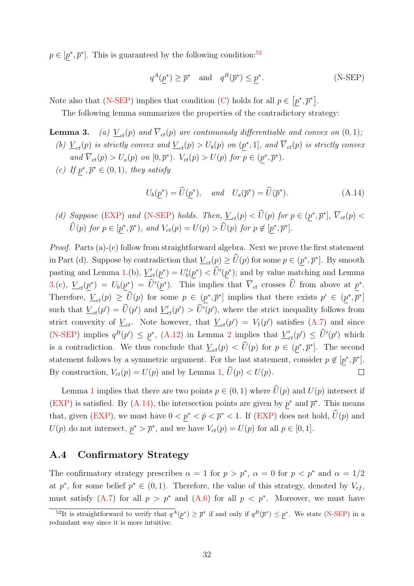$p \in [p^*, \overline{p}^*]$ . This is guaranteed by the following condition:<sup>[52](#page-31-0)</sup>

<span id="page-31-2"></span><span id="page-31-1"></span>
$$
q^{A}(\underline{p}^*) \ge \overline{p}^* \quad \text{and} \quad q^{B}(\overline{p}^*) \le \underline{p}^*.
$$
 (N-SEP)

Note also that [\(N-SEP\)](#page-31-1) implies that condition [\(C\)](#page-28-1) holds for all  $p \in [p^*, \overline{p}^*]$ .

The following lemma summarizes the properties of the contradictory strategy:

**Lemma 3.** (a)  $V_{ct}(p)$  and  $\overline{V}_{ct}(p)$  are continuously differentiable and convex on  $(0, 1)$ ;

- (b)  $\underline{V}_{ct}(p)$  is strictly convex and  $\underline{V}_{ct}(p) > U_b(p)$  on  $(\underline{p}^*, 1]$ , and  $\overline{V}_{ct}(p)$  is strictly convex and  $\overline{V}_{ct}(p) > U_a(p)$  on  $[0, \overline{p}^*)$ .  $V_{ct}(p) > U(p)$  for  $p \in (p^*, \overline{p}^*)$ .
- (c) If  $p^*, \overline{p}^* \in (0,1)$ , they satisfy

$$
U_b(\underline{p}^*) = \widehat{U}(\underline{p}^*), \quad \text{and} \quad U_a(\overline{p}^*) = \widehat{U}(\overline{p}^*).
$$
 (A.14)

(d) Suppose [\(EXP\)](#page-29-3) and [\(N-SEP\)](#page-31-1) holds. Then,  $\underline{V}_{ct}(p) < \hat{U}(p)$  for  $p \in (\underline{p}^*, \overline{p}^*], \overline{V}_{ct}(p) < \hat{U}(p)$  $\widehat{U}(p)$  for  $p \in [\underline{p}^*, \overline{p}^*)$ , and  $V_{ct}(p) = U(p) > \widehat{U}(p)$  for  $p \notin [\underline{p}^*, \overline{p}^*]$ .

Proof. Parts (a)-(c) follow from straightforward algebra. Next we prove the first statement in Part (d). Suppose by contradiction that  $\underline{V}_{ct}(p) \geq \hat{U}(p)$  for some  $p \in (\underline{p}^*, \overline{p}^*]$ . By smooth pasting and Lemma [1.](#page-29-2)(b),  $\underline{V}'_{ct}(\underline{p}^*) = U'_{b}(\underline{p}^*) < \widehat{U}'(\underline{p}^*)$ ; and by value matching and Lemma [3.](#page-0-0)(c),  $\underline{V}_{ct}(\underline{p}^*) = U_b(\underline{p}^*) = \hat{U}'(\underline{p}^*)$ . This implies that  $\overline{V}_{ct}$  crosses  $\hat{U}$  from above at  $\underline{p}^*$ . Therefore,  $\underline{V}_{ct}(p) \geq \widehat{U}(p)$  for some  $p \in (\underline{p}^*, \overline{p}^*]$  implies that there exists  $p' \in (\underline{p}^*, \overline{p}^*]$ such that  $\underline{V}_{ct}(p') = \widehat{U}(p')$  and  $\underline{V}'_{ct}(p') > \widehat{U}'(p')$ , where the strict inequality follows from strict convexity of  $\underline{V}_{ct}$ . Note however, that  $\underline{V}_{ct}(p') = V_1(p')$  satisfies [\(A.7\)](#page-28-4) and since [\(N-SEP\)](#page-31-1) implies  $q^B(p') \leq \underline{p}^*$ , [\(A.12\)](#page-30-0) in Lemma [2](#page-30-1) implies that  $\underline{V}'_{ct}(p') \leq \widehat{U}'(p')$  which is a contradiction. We thus conclude that  $\underline{V}_{ct}(p) < \hat{U}(p)$  for  $p \in (\underline{p}^*, \overline{p}^*]$ . The second statement follows by a symmetric argument. For the last statement, consider  $p \notin [p^*, \bar{p}^*]$ . By construction,  $V_{ct}(p) = U(p)$  and by Lemma [1,](#page-29-2)  $\hat{U}(p) < U(p)$ .  $\Box$ 

Lemma [1](#page-29-2) implies that there are two points  $p \in (0,1)$  where  $\widehat{U}(p)$  and  $U(p)$  intersect if [\(EXP\)](#page-29-3) is satisfied. By [\(A.14\)](#page-31-2), the intersection points are given by  $p^*$  and  $\bar{p}^*$ . This means that, given [\(EXP\)](#page-29-3), we must have  $0 < \underline{p}^* < \hat{p} < \overline{p}^* < 1$ . If (EXP) does not hold,  $\hat{U}(p)$  and  $U(p)$  do not intersect,  $p^* > \overline{p}^*$ , and we have  $V_{ct}(p) = U(p)$  for all  $p \in [0, 1]$ .

### A.4 Confirmatory Strategy

The confirmatory strategy prescribes  $\alpha = 1$  for  $p > p^*$ ,  $\alpha = 0$  for  $p < p^*$  and  $\alpha = 1/2$ at  $p^*$ , for some belief  $p^* \in (0,1)$ . Therefore, the value of this strategy, denoted by  $V_{cf}$ , must satisfy  $(A.7)$  for all  $p > p^*$  and  $(A.6)$  for all  $p < p^*$ . Moreover, we must have

<span id="page-31-0"></span><sup>&</sup>lt;sup>52</sup>It is straightforward to verify that  $q^A(p^*) \geq \overline{p}^*$  if and only if  $q^B(\overline{p}^*) \leq p^*$ . We state [\(N-SEP\)](#page-31-1) in a redundant way since it is more intuitive.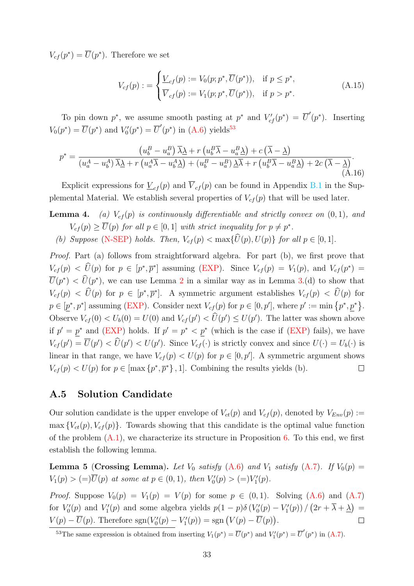$V_{cf}(p^*) = \overline{U}(p^*)$ . Therefore we set

$$
V_{cf}(p) := \begin{cases} \underline{V}_{cf}(p) := V_0(p; p^*, \overline{U}(p^*)), & \text{if } p \leq p^*,\\ \overline{V}_{cf}(p) := V_1(p; p^*, \overline{U}(p^*)), & \text{if } p > p^*. \end{cases}
$$
(A.15)

To pin down  $p^*$ , we assume smooth pasting at  $p^*$  and  $V'_{cf}(p^*) = \overline{U}'(p^*)$ . Inserting  $V_0(p^*) = \overline{U}(p^*)$  and  $V'_0(p^*) = \overline{U}'(p^*)$  in [\(A.6\)](#page-28-3) yields<sup>[53](#page-32-2)</sup>

$$
p^* = \frac{\left(u_b^B - u_a^B\right)\overline{\lambda}\underline{\lambda} + r\left(u_b^B\overline{\lambda} - u_a^B\underline{\lambda}\right) + c\left(\overline{\lambda} - \underline{\lambda}\right)}{\left(u_a^A - u_b^A\right)\overline{\lambda}\underline{\lambda} + r\left(u_a^A\overline{\lambda} - u_b^A\underline{\lambda}\right) + \left(u_b^B - u_a^B\right)\underline{\lambda}\overline{\lambda} + r\left(u_b^B\overline{\lambda} - u_a^B\underline{\lambda}\right) + 2c\left(\overline{\lambda} - \underline{\lambda}\right)}.
$$
\n(A.16)

Explicit expressions for  $\underline{V}_{cf}(p)$  and  $\overline{V}_{cf}(p)$  can be found in Appendix B.1 in the Supplemental Material. We establish several properties of  $V_{cf}(p)$  that will be used later.

- **Lemma 4.** (a)  $V_{cf}(p)$  is continuously differentiable and strictly convex on  $(0, 1)$ , and  $V_{cf}(p) \geq \overline{U}(p)$  for all  $p \in [0,1]$  with strict inequality for  $p \neq p^*$ .
	- (b) Suppose [\(N-SEP\)](#page-31-1) holds. Then,  $V_{cf}(p) < \max\{\widehat{U}(p), U(p)\}\)$  for all  $p \in [0, 1]$ .

<span id="page-32-0"></span>Proof. Part (a) follows from straightforward algebra. For part (b), we first prove that  $V_{cf}(p) < \hat{U}(p)$  for  $p \in [p^*, \overline{p}^*]$  assuming [\(EXP\)](#page-29-3). Since  $V_{cf}(p) = V_1(p)$ , and  $V_{cf}(p^*) =$  $\overline{U}(p^*) < \widehat{U}(p^*)$ , we can use Lemma [2](#page-30-1) in a similar way as in Lemma [3.](#page-0-0)(d) to show that  $V_{cf}(p) < \hat{U}(p)$  for  $p \in [p^*, \overline{p}^*]$ . A symmetric argument establishes  $V_{cf}(p) < \hat{U}(p)$  for  $p \in [p^*, p^*]$  assuming [\(EXP\)](#page-29-3). Consider next  $V_{cf}(p)$  for  $p \in [0, p']$ , where  $p' := \min \{p^*, p^*\}.$ Observe  $V_{cf}(0) < U_b(0) = U(0)$  and  $V_{cf}(p') < \hat{U}(p') \leq U(p')$ . The latter was shown above if  $p' = p^*$  and [\(EXP\)](#page-29-3) holds. If  $p' = p^* < p^*$  (which is the case if (EXP) fails), we have  $V_{cf}(p') = \overline{U}(p') < \hat{U}(p') < U(p')$ . Since  $V_{cf}(\cdot)$  is strictly convex and since  $U(\cdot) = U_b(\cdot)$  is linear in that range, we have  $V_{cf}(p) < U(p)$  for  $p \in [0, p']$ . A symmetric argument shows  $V_{cf}(p) < U(p)$  for  $p \in [\max\{p^*, \overline{p}^*\}, 1]$ . Combining the results yields (b).  $\Box$ 

### A.5 Solution Candidate

Our solution candidate is the upper envelope of  $V_{ct}(p)$  and  $V_{cf}(p)$ , denoted by  $V_{Env}(p) :=$  $\max \{V_{ct}(p), V_{cf}(p)\}\$ . Towards showing that this candidate is the optimal value function of the problem  $(A.1)$ , we characterize its structure in Proposition [6.](#page-33-0) To this end, we first establish the following lemma.

<span id="page-32-1"></span>Lemma 5 (Crossing Lemma). Let  $V_0$  satisfy  $(A.6)$  and  $V_1$  satisfy  $(A.7)$ . If  $V_0(p)$  =  $V_1(p) > (=|\overline{U}(p) \text{ at some at } p \in (0,1), \text{ then } V_0'(p) > (=)V_1'(p).$ 

*Proof.* Suppose  $V_0(p) = V_1(p) = V(p)$  for some  $p \in (0,1)$ . Solving  $(A.6)$  and  $(A.7)$ for  $V_0'(p)$  and  $V_1'(p)$  and some algebra yields  $p(1-p)\delta(V_0'(p) - V_1'(p))/(2r + \overline{\lambda} + \underline{\lambda}) =$  $V(p) - \overline{U}(p)$ . Therefore  $sgn(V'_0(p) - V'_1(p)) = sgn(V(p) - \overline{U}(p))$ .  $\Box$ 

<span id="page-32-2"></span><sup>&</sup>lt;sup>53</sup>The same expression is obtained from inserting  $V_1(p^*) = \overline{U}(p^*)$  and  $V'_1(p^*) = \overline{U}'(p^*)$  in [\(A.7\)](#page-28-4).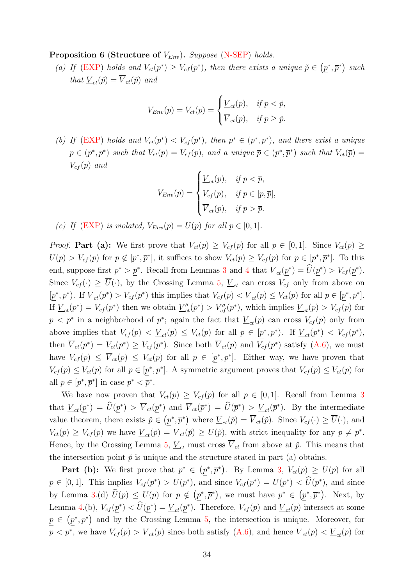<span id="page-33-0"></span>**Proposition 6 (Structure of**  $V_{Env}$ **).** Suppose [\(N-SEP\)](#page-31-1) holds.

(a) If [\(EXP\)](#page-29-3) holds and  $V_{ct}(p^*) \geq V_{cf}(p^*)$ , then there exists a unique  $\check{p} \in (p^*, \overline{p}^*)$  such that  $V_{ct}(\check{p}) = \overline{V}_{ct}(\check{p})$  and

$$
V_{Env}(p) = V_{ct}(p) = \begin{cases} \frac{V_{ct}(p), & \text{if } p < \check{p}, \\ \overline{V}_{ct}(p), & \text{if } p \geq \check{p}. \end{cases}
$$

(b) If [\(EXP\)](#page-29-3) holds and  $V_{ct}(p^*) < V_{cf}(p^*)$ , then  $p^* \in (p^*, \overline{p}^*)$ , and there exist a unique  $p \in (p^*, p^*)$  such that  $V_{ct}(p) = V_{cf}(p)$ , and a unique  $\overline{p} \in (p^*, \overline{p}^*)$  such that  $V_{ct}(\overline{p}) =$  $V_{cf}(\overline{p})$  and

$$
V_{Env}(p) = \begin{cases} \underline{V}_{ct}(p), & \text{if } p < \overline{p}, \\ V_{cf}(p), & \text{if } p \in [\underline{p}, \overline{p}], \\ \overline{V}_{ct}(p), & \text{if } p > \overline{p}. \end{cases}
$$

(c) If [\(EXP\)](#page-29-3) is violated,  $V_{Env}(p) = U(p)$  for all  $p \in [0, 1]$ .

*Proof.* Part (a): We first prove that  $V_{ct}(p) \geq V_{cf}(p)$  for all  $p \in [0,1]$ . Since  $V_{ct}(p) \geq$  $U(p) > V_{cf}(p)$  for  $p \notin [p^*, \overline{p}^*]$ , it suffices to show  $V_{ct}(p) \geq V_{cf}(p)$  for  $p \in [p^*, \overline{p}^*]$ . To this end, suppose first  $p^* > p^*$ . Recall from Lemmas [3](#page-0-0) and [4](#page-32-0) that  $\underline{V}_{ct}(\underline{p}^*) = \widetilde{U}(\underline{p}^*) > V_{cf}(\underline{p}^*)$ . Since  $V_{cf}(\cdot) \geq \overline{U}(\cdot)$ , by the Crossing Lemma [5,](#page-32-1)  $\underline{V}_{ct}$  can cross  $V_{cf}$  only from above on  $[\underline{p}^*, p^*]$ . If  $\underline{V}_{ct}(p^*) > V_{cf}(p^*)$  this implies that  $V_{cf}(p) < \underline{V}_{ct}(p) \leq V_{ct}(p)$  for all  $p \in [\underline{p}^*, p^*]$ . If  $\underline{V}_{ct}(p^*) = V_{cf}(p^*)$  then we obtain  $\underline{V}''_{ct}(p^*) > V''_{cf}(p^*)$ , which implies  $\underline{V}_{ct}(p) > V_{cf}(p)$  for  $p < p^*$  in a neighborhood of  $p^*$ ; again the fact that  $\underline{V}_{ct}(p)$  can cross  $V_{cf}(p)$  only from above implies that  $V_{cf}(p) < \underline{V}_{ct}(p) \leq V_{ct}(p)$  for all  $p \in [p^*, p^*$ ). If  $\underline{V}_{ct}(p^*) < V_{cf}(p^*)$ , then  $\overline{V}_{ct}(p^*) = V_{ct}(p^*) \geq V_{cf}(p^*)$ . Since both  $\overline{V}_{ct}(p)$  and  $V_{cf}(p^*)$  satisfy  $(A.6)$ , we must have  $V_{cf}(p) \leq \overline{V}_{ct}(p) \leq V_{ct}(p)$  for all  $p \in [p^*, p^*]$ . Either way, we have proven that  $V_{cf}(p) \leq V_{ct}(p)$  for all  $p \in [p^*, p^*]$ . A symmetric argument proves that  $V_{cf}(p) \leq V_{ct}(p)$  for all  $p \in [p^*, \overline{p}^*]$  in case  $p^* < \overline{p}^*$ .

We have now proven that  $V_{ct}(p) \geq V_{cf}(p)$  for all  $p \in [0,1]$ . Recall from Lemma [3](#page-0-0) that  $\underline{V}_{ct}(\underline{p}^*) = \widehat{U}(\underline{p}^*) > \overline{V}_{ct}(\underline{p}^*)$  and  $\overline{V}_{ct}(\overline{p}^*) = \widehat{U}(\overline{p}^*) > \underline{V}_{ct}(\overline{p}^*)$ . By the intermediate value theorem, there exists  $\check{p} \in (\underline{p}^*, \overline{p}^*)$  where  $\underline{V}_{ct}(\check{p}) = \overline{V}_{ct}(\check{p})$ . Since  $V_{cf}(\cdot) \ge \overline{U}(\cdot)$ , and  $V_{ct}(p) \geq V_{cf}(p)$  we have  $V_{ct}(\tilde{p}) = \overline{V}_{ct}(\tilde{p}) \geq \overline{U}(\tilde{p})$ , with strict inequality for any  $p \neq p^*$ . Hence, by the Crossing Lemma [5,](#page-32-1)  $V_{ct}$  must cross  $\overline{V}_{ct}$  from above at  $\check{p}$ . This means that the intersection point  $\check{p}$  is unique and the structure stated in part (a) obtains.

**Part (b):** We first prove that  $p^* \in (p^*, \overline{p}^*)$ . By Lemma [3,](#page-0-0)  $V_{ct}(p) \ge U(p)$  for all  $p \in [0,1]$ . This implies  $V_{cf}(p^*) > U(p^*)$ , and since  $V_{cf}(p^*) = \overline{U}(p^*) < \widehat{U}(p^*)$ , and since by Lemma [3.](#page-0-0)(d)  $\hat{U}(p) \leq U(p)$  for  $p \notin (\underline{p}^*, \overline{p}^*)$ , we must have  $p^* \in (\underline{p}^*, \overline{p}^*)$ . Next, by Lemma [4.](#page-32-0)(b),  $V_{cf}(\underline{p}^*) < \hat{U}(\underline{p}^*) = \underline{V}_{ct}(\underline{p}^*)$ . Therefore,  $V_{cf}(p)$  and  $\underline{V}_{ct}(p)$  intersect at some  $p \in (p^*, p^*)$  and by the Crossing Lemma [5,](#page-32-1) the intersection is unique. Moreover, for  $p < p^*$ , we have  $V_{cf}(p) > \overline{V}_{ct}(p)$  since both satisfy  $(A.6)$ , and hence  $\overline{V}_{ct}(p) < \underline{V}_{ct}(p)$  for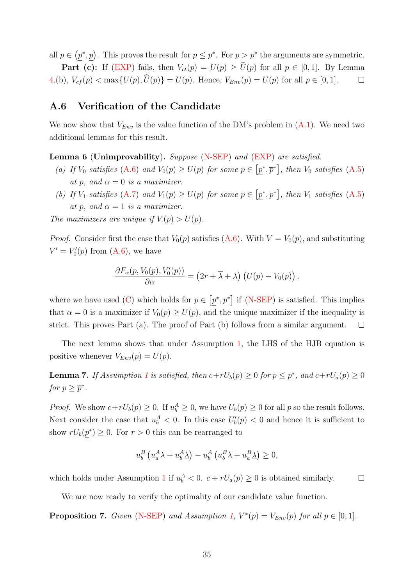all  $p \in (p^*, p)$ . This proves the result for  $p \leq p^*$ . For  $p > p^*$  the arguments are symmetric.

**Part (c):** If [\(EXP\)](#page-29-3) fails, then  $V_{ct}(p) = U(p) \ge \hat{U}(p)$  for all  $p \in [0, 1]$ . By Lemma [4.](#page-32-0)(b),  $V_{cf}(p) < \max\{U(p), \hat{U}(p)\} = U(p)$ . Hence,  $V_{Env}(p) = U(p)$  for all  $p \in [0, 1]$ .  $\Box$ 

#### A.6 Verification of the Candidate

We now show that  $V_{Env}$  is the value function of the DM's problem in  $(A.1)$ . We need two additional lemmas for this result.

<span id="page-34-2"></span>Lemma 6 (Unimprovability). Suppose [\(N-SEP\)](#page-31-1) and [\(EXP\)](#page-29-3) are satisfied.

- (a) If  $V_0$  satisfies [\(A.6\)](#page-28-3) and  $V_0(p) \ge \overline{U}(p)$  for some  $p \in [p^*, \overline{p}^*]$ , then  $V_0$  satisfies [\(A.5\)](#page-28-5) at p, and  $\alpha = 0$  is a maximizer.
- (b) If  $V_1$  satisfies [\(A.7\)](#page-28-4) and  $V_1(p) \ge \overline{U}(p)$  for some  $p \in [p^*, \overline{p}^*]$ , then  $V_1$  satisfies [\(A.5\)](#page-28-5) at p, and  $\alpha = 1$  is a maximizer.

The maximizers are unique if  $V(p) > \overline{U}(p)$ .

*Proof.* Consider first the case that  $V_0(p)$  satisfies [\(A.6\)](#page-28-3). With  $V = V_0(p)$ , and substituting  $V' = V'_0(p)$  from [\(A.6\)](#page-28-3), we have

$$
\frac{\partial F_{\alpha}(p, V_0(p), V'_0(p))}{\partial \alpha} = (2r + \overline{\lambda} + \underline{\lambda}) \left( \overline{U}(p) - V_0(p) \right).
$$

where we have used [\(C\)](#page-28-1) which holds for  $p \in [p^*, \overline{p}^*]$  if [\(N-SEP\)](#page-31-1) is satisfied. This implies that  $\alpha = 0$  is a maximizer if  $V_0(p) \ge \overline{U}(p)$ , and the unique maximizer if the inequality is strict. This proves Part (a). The proof of Part (b) follows from a similar argument.  $\Box$ 

The next lemma shows that under Assumption [1,](#page-21-2) the LHS of the HJB equation is positive whenever  $V_{Env}(p) = U(p)$ .

<span id="page-34-1"></span>**Lemma 7.** If Assumption [1](#page-21-2) is satisfied, then  $c+rU_b(p) \ge 0$  for  $p \le p^*$ , and  $c+rU_a(p) \ge 0$ for  $p \geq \overline{p}^*$ .

*Proof.* We show  $c + rU_b(p) \ge 0$ . If  $u_b^A \ge 0$ , we have  $U_b(p) \ge 0$  for all p so the result follows. Next consider the case that  $u_b^A < 0$ . In this case  $U_b'(p) < 0$  and hence it is sufficient to show  $rU_b(p^*) \geq 0$ . For  $r > 0$  this can be rearranged to

$$
u_b^B \left( u_a^A \overline{\lambda} + u_b^A \underline{\lambda} \right) - u_b^A \left( u_b^B \overline{\lambda} + u_a^B \underline{\lambda} \right) \ge 0,
$$

which holds under Assumption [1](#page-21-2) if  $u_b^A < 0$ .  $c + rU_a(p) \ge 0$  is obtained similarly.  $\Box$ 

We are now ready to verify the optimality of our candidate value function.

<span id="page-34-0"></span>**Proposition 7.** Given [\(N-SEP\)](#page-31-1) and Assumption [1,](#page-21-2)  $V^*(p) = V_{Env}(p)$  for all  $p \in [0, 1]$ .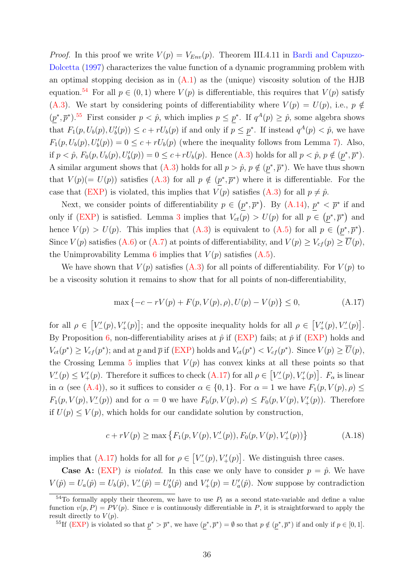<span id="page-35-4"></span>*Proof.* In this proof we write  $V(p) = V_{Env}(p)$ . Theorem III.4.11 in [Bardi and Capuzzo-](#page-38-12)[Dolcetta](#page-38-12) [\(1997\)](#page-38-12) characterizes the value function of a dynamic programming problem with an optimal stopping decision as in  $(A.1)$  as the (unique) viscosity solution of the HJB equation.<sup>[54](#page-35-0)</sup> For all  $p \in (0,1)$  where  $V(p)$  is differentiable, this requires that  $V(p)$  satisfy [\(A.3\)](#page-28-0). We start by considering points of differentiability where  $V(p) = U(p)$ , i.e.,  $p \notin$  $(p^*, \overline{p}^*)$ .<sup>[55](#page-35-1)</sup> First consider  $p < \hat{p}$ , which implies  $p \leq p^*$ . If  $q^A(p) \geq \hat{p}$ , some algebra shows that  $F_1(p, U_b(p), U'_b(p)) \leq c + rU_b(p)$  if and only if  $p \leq \underline{p}^*$ . If instead  $q^A(p) < \hat{p}$ , we have  $F_1(p, U_b(p), U'_b(p)) = 0 \le c + rU_b(p)$  (where the inequality follows from Lemma [7\)](#page-34-1). Also, if  $p < \hat{p}$ ,  $F_0(p, U_b(p), U'_b(p)) = 0 \le c + rU_b(p)$ . Hence [\(A.3\)](#page-28-0) holds for all  $p < \hat{p}$ ,  $p \notin (\underline{p}^*, \overline{p}^*)$ . A similar argument shows that  $(A.3)$  holds for all  $p > \hat{p}$ ,  $p \notin (p^*, \bar{p}^*)$ . We have thus shown that  $V(p) (= U(p))$  satisfies [\(A.3\)](#page-28-0) for all  $p \notin (p^*, \overline{p}^*)$  where it is differentiable. For the case that [\(EXP\)](#page-29-3) is violated, this implies that  $V(p)$  satisfies [\(A.3\)](#page-28-0) for all  $p \neq \hat{p}$ .

Next, we consider points of differentiability  $p \in (p^*, \overline{p}^*)$ . By  $(A.14)$ ,  $p^* < \overline{p}^*$  if and only if [\(EXP\)](#page-29-3) is satisfied. Lemma [3](#page-0-0) implies that  $V_{ct}(p) > U(p)$  for all  $p \in (p^*, \overline{p}^*)$  and hence  $V(p) > U(p)$ . This implies that  $(A.3)$  is equivalent to  $(A.5)$  for all  $p \in (p^*, \overline{p}^*)$ . Since  $V(p)$  satisfies [\(A.6\)](#page-28-3) or [\(A.7\)](#page-28-4) at points of differentiability, and  $V(p) \geq V_{cf}(p) \geq \overline{U}(p)$ , the Unimprovability Lemma [6](#page-34-2) implies that  $V(p)$  satisfies  $(A.5)$ .

We have shown that  $V(p)$  satisfies [\(A.3\)](#page-28-0) for all points of differentiability. For  $V(p)$  to be a viscosity solution it remains to show that for all points of non-differentiability,

<span id="page-35-2"></span>
$$
\max\left\{-c - rV(p) + F(p, V(p), \rho), U(p) - V(p)\right\} \le 0,\tag{A.17}
$$

for all  $\rho \in [V'_{-}(p), V'_{+}(p)];$  and the opposite inequality holds for all  $\rho \in [V'_{+}(p), V'_{-}(p)].$ By Proposition [6,](#page-33-0) non-differentiability arises at  $\hat{p}$  if [\(EXP\)](#page-29-3) fails; at  $\check{p}$  if (EXP) holds and  $V_{ct}(p^*) \geq V_{cf}(p^*)$ ; and at p and  $\bar{p}$  if [\(EXP\)](#page-29-3) holds and  $V_{ct}(p^*) < V_{cf}(p^*)$ . Since  $V(p) \geq \overline{U}(p)$ , the Crossing Lemma [5](#page-32-1) implies that  $V(p)$  has convex kinks at all these points so that  $V'_{-}(p) \leq V'_{+}(p)$ . Therefore it suffices to check  $(A.17)$  for all  $\rho \in [V'_{-}(p), V'_{+}(p)]$ .  $F_{\alpha}$  is linear in  $\alpha$  (see [\(A.4\)](#page-28-6)), so it suffices to consider  $\alpha \in \{0,1\}$ . For  $\alpha = 1$  we have  $F_1(p, V(p), \rho) \leq$  $F_1(p, V(p), V'_{-}(p))$  and for  $\alpha = 0$  we have  $F_0(p, V(p), \rho) \leq F_0(p, V(p), V'_{+}(p))$ . Therefore if  $U(p) \le V(p)$ , which holds for our candidate solution by construction,

<span id="page-35-3"></span>
$$
c + rV(p) \ge \max\left\{F_1(p, V(p), V'_{-}(p)), F_0(p, V(p), V'_{+}(p))\right\}
$$
 (A.18)

implies that [\(A.17\)](#page-35-2) holds for all for  $\rho \in [V'_{-}(p), V'_{+}(p)]$ . We distinguish three cases.

**Case A:** [\(EXP\)](#page-29-3) is violated. In this case we only have to consider  $p = \hat{p}$ . We have  $V(\hat{p}) = U_a(\hat{p}) = U_b(\hat{p}), V'_{-}(\hat{p}) = U'_b(\hat{p})$  and  $V'_{+}(p) = U'_a(\hat{p}).$  Now suppose by contradiction

<span id="page-35-1"></span><sup>55</sup>If [\(EXP\)](#page-29-3) is violated so that  $p^* > \overline{p}^*$ , we have  $(p^*, \overline{p}^*) = \emptyset$  so that  $p \notin (p^*, \overline{p}^*)$  if and only if  $p \in [0, 1]$ .

<span id="page-35-0"></span><sup>&</sup>lt;sup>54</sup>To formally apply their theorem, we have to use  $P_t$  as a second state-variable and define a value function  $v(p, P) = PV(p)$ . Since v is continuously differentiable in P, it is straightforward to apply the result directly to  $V(p)$ .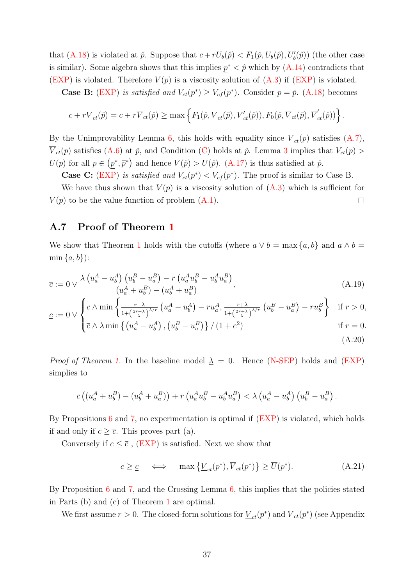that [\(A.18\)](#page-35-3) is violated at  $\hat{p}$ . Suppose that  $c + rU_b(\hat{p}) < F_1(\hat{p}, U_b(\hat{p}), U'_b(\hat{p}))$  (the other case is similar). Some algebra shows that this implies  $p^* < \hat{p}$  which by  $(A.14)$  contradicts that [\(EXP\)](#page-29-3) is violated. Therefore  $V(p)$  is a viscosity solution of  $(A.3)$  if  $(EXP)$  is violated.

**Case B:** [\(EXP\)](#page-29-3) is satisfied and  $V_{ct}(p^*) \geq V_{cf}(p^*)$ . Consider  $p = \tilde{p}$ . [\(A.18\)](#page-35-3) becomes

$$
c + r \underline{V}_{ct}(\check{p}) = c + r \overline{V}_{ct}(\check{p}) \ge \max \left\{ F_1(\check{p}, \underline{V}_{ct}(\check{p}), \underline{V}'_{ct}(\check{p})), F_0(\check{p}, \overline{V}_{ct}(\check{p}), \overline{V}'_{ct}(\check{p})) \right\}.
$$

By the Unimprovability Lemma [6,](#page-34-2) this holds with equality since  $\underline{V}_{ct}(p)$  satisfies  $(A.7)$ ,  $\overline{V}_{ct}(p)$  satisfies [\(A.6\)](#page-28-3) at  $\check{p}$ , and Condition [\(C\)](#page-28-1) holds at  $\check{p}$ . Lemma [3](#page-0-0) implies that  $V_{ct}(p)$  $U(p)$  for all  $p \in (p^*, \overline{p}^*)$  and hence  $V(p) > U(p)$ . [\(A.17\)](#page-35-2) is thus satisfied at  $\check{p}$ .

**Case C:** [\(EXP\)](#page-29-3) is satisfied and  $V_{ct}(p^*) < V_{cf}(p^*)$ . The proof is similar to Case B.

We have thus shown that  $V(p)$  is a viscosity solution of  $(A.3)$  which is sufficient for  $V(p)$  to be the value function of problem  $(A.1)$ .  $\Box$ 

### A.7 Proof of Theorem [1](#page-9-2)

We show that Theorem [1](#page-9-2) holds with the cutoffs (where  $a \vee b = \max\{a, b\}$  and  $a \wedge b =$  $min\{a,b\}$ :

$$
\overline{c} := 0 \vee \frac{\lambda \left(u_a^A - u_b^A\right) \left(u_b^B - u_a^B\right) - r \left(u_a^A u_b^B - u_b^A u_a^B\right)}{(u_a^A + u_b^B) - (u_b^A + u_a^B)},\tag{A.19}
$$

$$
\underline{c} := 0 \vee \begin{cases} \overline{c} \wedge \min \left\{ \frac{r+\lambda}{1 + \left(\frac{2r+\lambda}{\lambda}\right)^{\lambda/r}} \left( u_a^A - u_b^A \right) - r u_a^A, \frac{r+\lambda}{1 + \left(\frac{2r+\lambda}{\lambda}\right)^{\lambda/r}} \left( u_b^B - u_a^B \right) - r u_b^B \right\} & \text{if } r > 0, \\ -1 & \text{if } r > 0, \end{cases}
$$

<span id="page-36-1"></span>
$$
\left(\bar{c} \wedge \lambda \min\left\{\left(u_a^A - u_b^A\right), \left(u_b^B - u_a^B\right)\right\} / \left(1 + e^2\right)\right) \qquad \text{if } r = 0.
$$
\n(A.20)

*Proof of Theorem [1.](#page-9-2)* In the baseline model  $\lambda = 0$ . Hence [\(N-SEP\)](#page-31-1) holds and [\(EXP\)](#page-29-3) simplies to

$$
c ((u_a^A + u_b^B) - (u_b^A + u_a^B)) + r (u_a^A u_b^B - u_b^A u_a^B) < \lambda (u_a^A - u_b^A) (u_b^B - u_a^B).
$$

By Propositions [6](#page-33-0) and [7,](#page-34-0) no experimentation is optimal if [\(EXP\)](#page-29-3) is violated, which holds if and only if  $c \geq \overline{c}$ . This proves part (a).

Conversely if  $c \leq \overline{c}$ , [\(EXP\)](#page-29-3) is satisfied. Next we show that

<span id="page-36-2"></span><span id="page-36-0"></span>
$$
c \geq \underline{c} \quad \iff \quad \max\left\{\underline{V}_{ct}(p^*), \overline{V}_{ct}(p^*)\right\} \geq \overline{U}(p^*). \tag{A.21}
$$

By Proposition [6](#page-33-0) and [7,](#page-34-0) and the Crossing Lemma [6,](#page-34-2) this implies that the policies stated in Parts (b) and (c) of Theorem [1](#page-9-2) are optimal.

We first assume  $r > 0$ . The closed-form solutions for  $\underline{V}_{ct}(p^*)$  and  $\overline{V}_{ct}(p^*)$  (see Appendix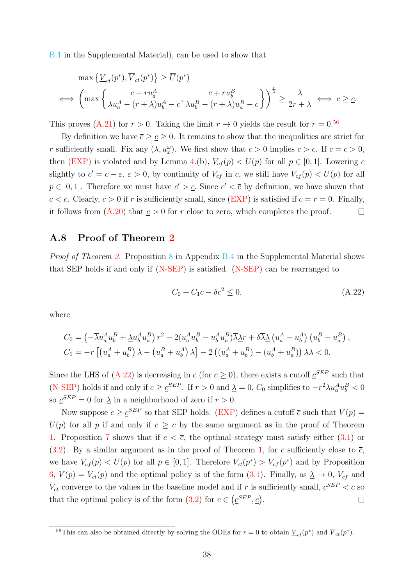B.1 in the Supplemental Material), can be used to show that

$$
\max \left\{ \underline{V}_{ct}(p^*), \overline{V}_{ct}(p^*) \right\} \ge \overline{U}(p^*)
$$
  

$$
\iff \left( \max \left\{ \frac{c + ru_a^A}{\lambda u_a^A - (r + \lambda)u_b^A - c}, \frac{c + ru_b^B}{\lambda u_b^B - (r + \lambda)u_a^B - c} \right\} \right)^{\frac{r}{\lambda}} \ge \frac{\lambda}{2r + \lambda} \iff c \ge \underline{c}.
$$

This proves [\(A.21\)](#page-36-2) for  $r > 0$ . Taking the limit  $r \to 0$  yields the result for  $r = 0.56$  $r = 0.56$ 

By definition we have  $\overline{c} \geq \underline{c} \geq 0$ . It remains to show that the inequalities are strict for r sufficiently small. Fix any  $(\lambda, u_x^{\omega})$ . We first show that  $\overline{c} > 0$  implies  $\overline{c} > \underline{c}$ . If  $c = \overline{c} > 0$ , then [\(EXP\)](#page-29-3) is violated and by Lemma [4.](#page-32-0)(b),  $V_{cf}(p) < U(p)$  for all  $p \in [0,1]$ . Lowering c slightly to  $c' = \overline{c} - \varepsilon$ ,  $\varepsilon > 0$ , by continuity of  $V_{cf}$  in c, we still have  $V_{cf}(p) < U(p)$  for all  $p \in [0, 1]$ . Therefore we must have  $c' > c$ . Since  $c' < \overline{c}$  by definition, we have shown that  $c < \overline{c}$ . Clearly,  $\overline{c} > 0$  if r is sufficiently small, since [\(EXP\)](#page-29-3) is satisfied if  $c = r = 0$ . Finally, it follows from  $(A.20)$  that  $c > 0$  for r close to zero, which completes the proof.  $\Box$ 

#### A.8 Proof of Theorem [2](#page-22-2)

*Proof of Theorem [2.](#page-22-2)* Proposition 8 in Appendix B.4 in the Supplemental Material shows that SEP holds if and only if  $(N-SEP)$  is satisfied.  $(N-SEP)$  can be rearranged to

<span id="page-37-1"></span>
$$
C_0 + C_1 c - \delta c^2 \le 0,\tag{A.22}
$$

where

$$
C_0 = \left(-\overline{\lambda}u_a^A u_b^B + \underline{\lambda}u_b^A u_a^B\right) r^2 - 2\left(u_a^A u_b^B - u_b^A u_a^B\right) \overline{\lambda} \underline{\lambda}r + \delta \overline{\lambda} \underline{\lambda} \left(u_a^A - u_b^A\right) \left(u_b^B - u_a^B\right),
$$
  
\n
$$
C_1 = -r \left[\left(u_a^A + u_b^B\right) \overline{\lambda} - \left(u_a^B + u_b^A\right) \underline{\lambda}\right] - 2\left(\left(u_a^A + u_b^B\right) - \left(u_b^A + u_a^B\right)\right) \overline{\lambda} \underline{\lambda} < 0.
$$

Since the LHS of [\(A.22\)](#page-37-1) is decreasing in c (for  $c \ge 0$ ), there exists a cutoff  $c^{SEP}$  such that [\(N-SEP\)](#page-31-1) holds if and only if  $c \geq c^{SEP}$ . If  $r > 0$  and  $\underline{\lambda} = 0$ ,  $C_0$  simplifies to  $-r^2\overline{\lambda}u_a^Au_b^B < 0$ so  $\underline{c}^{SEP} = 0$  for  $\underline{\lambda}$  in a neighborhood of zero if  $r > 0$ .

Now suppose  $c \geq \underline{c}^{SEP}$  so that SEP holds. [\(EXP\)](#page-29-3) defines a cutoff  $\overline{c}$  such that  $V(p)$  $U(p)$  for all p if and only if  $c \geq \overline{c}$  by the same argument as in the proof of Theorem [1.](#page-9-2) Proposition [7](#page-34-0) shows that if  $c < \overline{c}$ , the optimal strategy must satisfy either  $(3.1)$  or  $(3.2)$ . By a similar argument as in the proof of Theorem [1,](#page-9-2) for c sufficiently close to  $\bar{c}$ , we have  $V_{cf}(p) < U(p)$  for all  $p \in [0,1]$ . Therefore  $V_{ct}(p^*) > V_{cf}(p^*)$  and by Proposition [6,](#page-33-0)  $V(p) = V_{ct}(p)$  and the optimal policy is of the form [\(3.1\)](#page-9-1). Finally, as  $\lambda \to 0$ ,  $V_{cf}$  and  $V_{ct}$  converge to the values in the baseline model and if r is sufficiently small,  $\underline{c}^{SEP} < \underline{c}$  so that the optimal policy is of the form  $(3.2)$  for  $c \in (\underline{c}^{SEP}, \underline{c})$ .  $\Box$ 

<span id="page-37-0"></span><sup>&</sup>lt;sup>56</sup>This can also be obtained directly by solving the ODEs for  $r = 0$  to obtain  $\underline{V}_{ct}(p^*)$  and  $\overline{V}_{ct}(p^*)$ .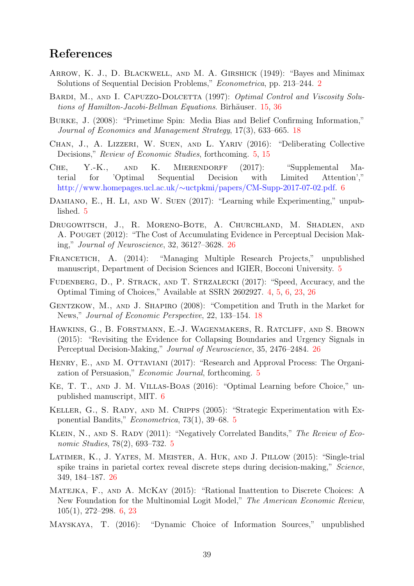### References

- <span id="page-38-0"></span>Arrow, K. J., D. Blackwell, and M. A. Girshick (1949): "Bayes and Minimax Solutions of Sequential Decision Problems," Econometrica, pp. 213–244. [2](#page-1-1)
- <span id="page-38-12"></span>BARDI, M., AND I. CAPUZZO-DOLCETTA (1997): Optimal Control and Viscosity Solu-tions of Hamilton-Jacobi-Bellman Equations. Birhäuser. [15,](#page-14-4) [36](#page-35-4)
- <span id="page-38-13"></span>Burke, J. (2008): "Primetime Spin: Media Bias and Belief Confirming Information," Journal of Economics and Management Strategy, 17(3), 633–665. [18](#page-17-6)
- <span id="page-38-6"></span>Chan, J., A. Lizzeri, W. Suen, and L. Yariv (2016): "Deliberating Collective Decisions," *Review of Economic Studies*, forthcoming. [5,](#page-4-4) [15](#page-14-4)
- <span id="page-38-9"></span>Che, Y.-K., and K. Mierendorff (2017): "Supplemental Material for 'Optimal Sequential Decision with Limited Attention'," http://www.homepages.ucl.ac.uk/∼[uctpkmi/papers/CM-Supp-2017-07-02.pdf.](http://www.homepages.ucl.ac.uk/~uctpkmi/papers/CM-Supp-2017-07-02.pdf) [6](#page-5-6)
- <span id="page-38-5"></span>DAMIANO, E., H. LI, AND W. SUEN (2017): "Learning while Experimenting," unpublished. [5](#page-4-4)
- <span id="page-38-15"></span>Drugowitsch, J., R. Moreno-Bote, A. Churchland, M. Shadlen, and A. POUGET (2012): "The Cost of Accumulating Evidence in Perceptual Decision Making," Journal of Neuroscience, 32, 3612?–3628. [26](#page-25-6)
- <span id="page-38-4"></span>FRANCETICH, A. (2014): "Managing Multiple Research Projects," unpublished manuscript, Department of Decision Sciences and IGIER, Bocconi University. [5](#page-4-4)
- <span id="page-38-1"></span>Fudenberg, D., P. Strack, and T. Strzalecki (2017): "Speed, Accuracy, and the Optimal Timing of Choices," Available at SSRN 2602927. [4,](#page-3-2) [5,](#page-4-4) [6,](#page-5-6) [23,](#page-22-3) [26](#page-25-6)
- <span id="page-38-14"></span>GENTZKOW, M., AND J. SHAPIRO (2008): "Competition and Truth in the Market for News," Journal of Economic Perspective, 22, 133–154. [18](#page-17-6)
- <span id="page-38-16"></span>Hawkins, G., B. Forstmann, E.-J. Wagenmakers, R. Ratcliff, and S. Brown (2015): "Revisiting the Evidence for Collapsing Boundaries and Urgency Signals in Perceptual Decision-Making," Journal of Neuroscience, 35, 2476–2484. [26](#page-25-6)
- <span id="page-38-7"></span>HENRY, E., AND M. OTTAVIANI (2017): "Research and Approval Process: The Organization of Persuasion," Economic Journal, forthcoming. [5](#page-4-4)
- <span id="page-38-11"></span>Ke, T. T., and J. M. Villas-Boas (2016): "Optimal Learning before Choice," unpublished manuscript, MIT. [6](#page-5-6)
- <span id="page-38-2"></span>KELLER, G., S. RADY, AND M. CRIPPS (2005): "Strategic Experimentation with Exponential Bandits," Econometrica, 73(1), 39–68. [5](#page-4-4)
- <span id="page-38-3"></span>KLEIN, N., AND S. RADY (2011): "Negatively Correlated Bandits," The Review of Economic Studies, 78(2), 693–732. [5](#page-4-4)
- <span id="page-38-17"></span>Latimer, K., J. Yates, M. Meister, A. Huk, and J. Pillow (2015): "Single-trial spike trains in parietal cortex reveal discrete steps during decision-making," Science, 349, 184–187. [26](#page-25-6)
- <span id="page-38-8"></span>MATEJKA, F., AND A. MCKAY (2015): "Rational Inattention to Discrete Choices: A New Foundation for the Multinomial Logit Model," The American Economic Review, 105(1), 272–298. [6,](#page-5-6) [23](#page-22-3)
- <span id="page-38-10"></span>Mayskaya, T. (2016): "Dynamic Choice of Information Sources," unpublished